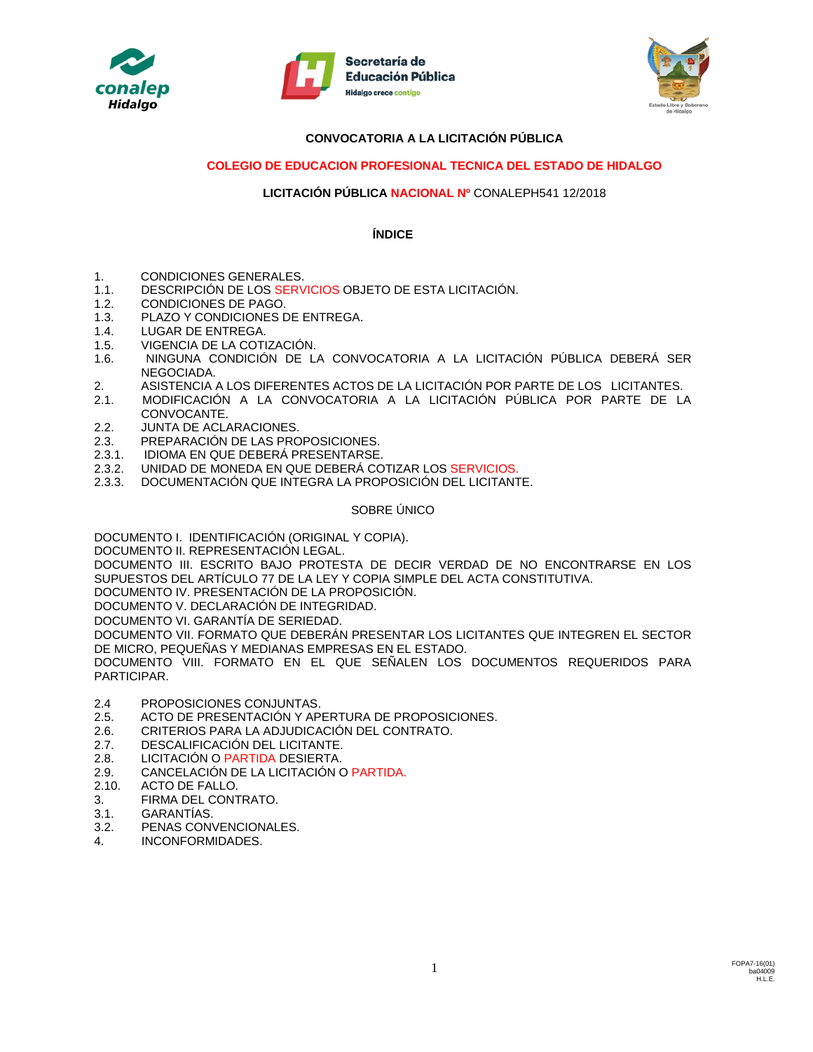





# **CONVOCATORIA A LA LICITACIÓN PÚBLICA**

# **COLEGIO DE EDUCACION PROFESIONAL TECNICA DEL ESTADO DE HIDALGO**

#### **LICITACIÓN PÚBLICA NACIONAL Nº** CONALEPH541 12/2018

#### **ÍNDICE**

- 1. CONDICIONES GENERALES.
- 1.1. DESCRIPCIÓN DE LOS SERVICIOS OBJETO DE ESTA LICITACIÓN.
- 1.2. CONDICIONES DE PAGO.
- 1.3. PLAZO Y CONDICIONES DE ENTREGA.
- 1.4. LUGAR DE ENTREGA.
- 1.5. VIGENCIA DE LA COTIZACIÓN.
- 1.6. NINGUNA CONDICIÓN DE LA CONVOCATORIA A LA LICITACIÓN PÚBLICA DEBERÁ SER NEGOCIADA.
- 2. ASISTENCIA A LOS DIFERENTES ACTOS DE LA LICITACIÓN POR PARTE DE LOS LICITANTES.
- 2.1. MODIFICACIÓN A LA CONVOCATORIA A LA LICITACIÓN PÚBLICA POR PARTE DE LA CONVOCANTE.
- 2.2. JUNTA DE ACLARACIONES.
- 2.3. PREPARACIÓN DE LAS PROPOSICIONES.
- 2.3.1. IDIOMA EN QUE DEBERÁ PRESENTARSE.
- 2.3.2. UNIDAD DE MONEDA EN QUE DEBERÁ COTIZAR LOS SERVICIOS.
- 2.3.3. DOCUMENTACIÓN QUE INTEGRA LA PROPOSICIÓN DEL LICITANTE.

#### SOBRE ÚNICO

DOCUMENTO I. IDENTIFICACIÓN (ORIGINAL Y COPIA).

DOCUMENTO II. REPRESENTACIÓN LEGAL.

DOCUMENTO III. ESCRITO BAJO PROTESTA DE DECIR VERDAD DE NO ENCONTRARSE EN LOS SUPUESTOS DEL ARTÍCULO 77 DE LA LEY Y COPIA SIMPLE DEL ACTA CONSTITUTIVA.

DOCUMENTO IV. PRESENTACIÓN DE LA PROPOSICIÓN.

DOCUMENTO V. DECLARACIÓN DE INTEGRIDAD.

DOCUMENTO VI. GARANTÍA DE SERIEDAD.

DOCUMENTO VII. FORMATO QUE DEBERÁN PRESENTAR LOS LICITANTES QUE INTEGREN EL SECTOR DE MICRO, PEQUEÑAS Y MEDIANAS EMPRESAS EN EL ESTADO.

DOCUMENTO VIII. FORMATO EN EL QUE SEÑALEN LOS DOCUMENTOS REQUERIDOS PARA PARTICIPAR.

- 2.4 PROPOSICIONES CONJUNTAS.
- 2.5. ACTO DE PRESENTACIÓN Y APERTURA DE PROPOSICIONES.
- 2.6. CRITERIOS PARA LA ADJUDICACIÓN DEL CONTRATO.
- 2.7. DESCALIFICACIÓN DEL LICITANTE.
- 2.8. LICITACIÓN O PARTIDA DESIERTA.
- 2.9. CANCELACIÓN DE LA LICITACIÓN O PARTIDA.<br>2.10. ACTO DE FALLO.
- 2.10. ACTO DE FALLO.
- 3. FIRMA DEL CONTRATO.
- 3.1. GARANTÍAS.
- 3.2. PENAS CONVENCIONALES.
- 4. INCONFORMIDADES.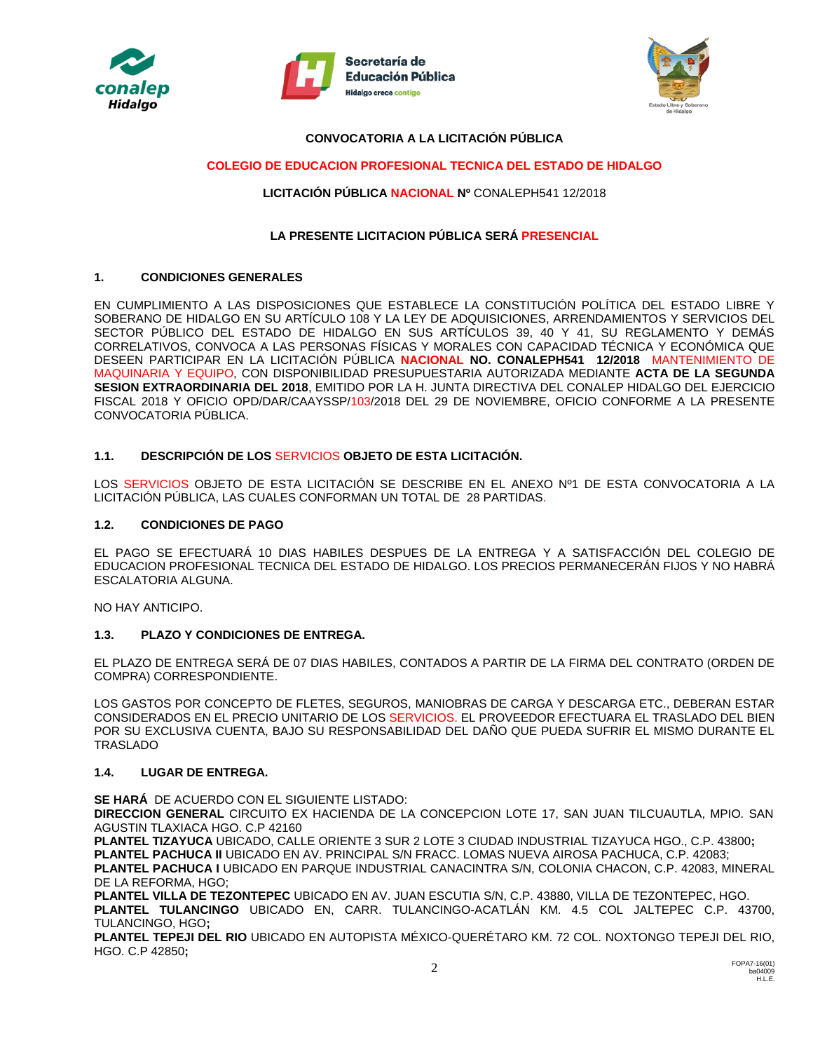





#### **CONVOCATORIA A LA LICITACIÓN PÚBLICA**

#### **COLEGIO DE EDUCACION PROFESIONAL TECNICA DEL ESTADO DE HIDALGO**

#### **LICITACIÓN PÚBLICA NACIONAL Nº** CONALEPH541 12/2018

#### **LA PRESENTE LICITACION PÚBLICA SERÁ PRESENCIAL**

#### **1. CONDICIONES GENERALES**

EN CUMPLIMIENTO A LAS DISPOSICIONES QUE ESTABLECE LA CONSTITUCIÓN POLÍTICA DEL ESTADO LIBRE Y SOBERANO DE HIDALGO EN SU ARTÍCULO 108 Y LA LEY DE ADQUISICIONES, ARRENDAMIENTOS Y SERVICIOS DEL SECTOR PÚBLICO DEL ESTADO DE HIDALGO EN SUS ARTÍCULOS 39, 40 Y 41, SU REGLAMENTO Y DEMÁS CORRELATIVOS, CONVOCA A LAS PERSONAS FÍSICAS Y MORALES CON CAPACIDAD TÉCNICA Y ECONÓMICA QUE DESEEN PARTICIPAR EN LA LICITACIÓN PÚBLICA **NACIONAL NO. CONALEPH541 12/2018** MANTENIMIENTO DE MAQUINARIA Y EQUIPO, CON DISPONIBILIDAD PRESUPUESTARIA AUTORIZADA MEDIANTE **ACTA DE LA SEGUNDA SESION EXTRAORDINARIA DEL 2018**, EMITIDO POR LA H. JUNTA DIRECTIVA DEL CONALEP HIDALGO DEL EJERCICIO FISCAL 2018 Y OFICIO OPD/DAR/CAAYSSP/103/2018 DEL 29 DE NOVIEMBRE, OFICIO CONFORME A LA PRESENTE CONVOCATORIA PÚBLICA.

#### **1.1. DESCRIPCIÓN DE LOS** SERVICIOS **OBJETO DE ESTA LICITACIÓN.**

LOS SERVICIOS OBJETO DE ESTA LICITACIÓN SE DESCRIBE EN EL ANEXO Nº1 DE ESTA CONVOCATORIA A LA LICITACIÓN PÚBLICA, LAS CUALES CONFORMAN UN TOTAL DE 28 PARTIDAS.

#### **1.2. CONDICIONES DE PAGO**

EL PAGO SE EFECTUARÁ 10 DIAS HABILES DESPUES DE LA ENTREGA Y A SATISFACCIÓN DEL COLEGIO DE EDUCACION PROFESIONAL TECNICA DEL ESTADO DE HIDALGO. LOS PRECIOS PERMANECERÁN FIJOS Y NO HABRÁ ESCALATORIA ALGUNA.

NO HAY ANTICIPO.

#### **1.3. PLAZO Y CONDICIONES DE ENTREGA.**

EL PLAZO DE ENTREGA SERÁ DE 07 DIAS HABILES, CONTADOS A PARTIR DE LA FIRMA DEL CONTRATO (ORDEN DE COMPRA) CORRESPONDIENTE.

LOS GASTOS POR CONCEPTO DE FLETES, SEGUROS, MANIOBRAS DE CARGA Y DESCARGA ETC., DEBERAN ESTAR CONSIDERADOS EN EL PRECIO UNITARIO DE LOS SERVICIOS. EL PROVEEDOR EFECTUARA EL TRASLADO DEL BIEN POR SU EXCLUSIVA CUENTA, BAJO SU RESPONSABILIDAD DEL DAÑO QUE PUEDA SUFRIR EL MISMO DURANTE EL TRASLADO

#### **1.4. LUGAR DE ENTREGA.**

**SE HARÁ** DE ACUERDO CON EL SIGUIENTE LISTADO:

**DIRECCION GENERAL** CIRCUITO EX HACIENDA DE LA CONCEPCION LOTE 17, SAN JUAN TILCUAUTLA, MPIO. SAN AGUSTIN TLAXIACA HGO. C.P 42160

**PLANTEL TIZAYUCA** UBICADO, CALLE ORIENTE 3 SUR 2 LOTE 3 CIUDAD INDUSTRIAL TIZAYUCA HGO., C.P. 43800**; PLANTEL PACHUCA II** UBICADO EN AV. PRINCIPAL S/N FRACC. LOMAS NUEVA AIROSA PACHUCA, C.P. 42083; **PLANTEL PACHUCA I** UBICADO EN PARQUE INDUSTRIAL CANACINTRA S/N, COLONIA CHACON, C.P. 42083, MINERAL DE LA REFORMA, HGO;

**PLANTEL VILLA DE TEZONTEPEC** UBICADO EN AV. JUAN ESCUTIA S/N, C.P. 43880, VILLA DE TEZONTEPEC, HGO. **PLANTEL TULANCINGO** UBICADO EN, CARR. TULANCINGO-ACATLÁN KM. 4.5 COL JALTEPEC C.P. 43700, TULANCINGO, HGO**;**

**PLANTEL TEPEJI DEL RIO** UBICADO EN AUTOPISTA MÉXICO-QUERÉTARO KM. 72 COL. NOXTONGO TEPEJI DEL RIO, HGO. C.P 42850**;**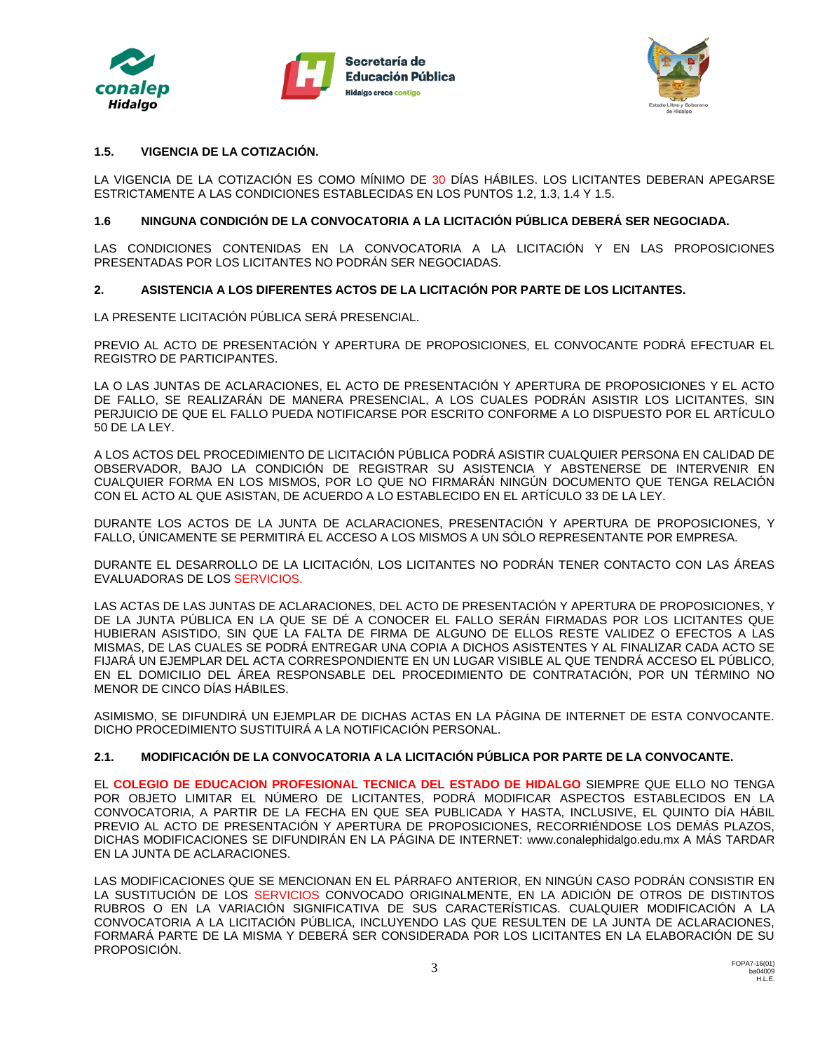





### **1.5. VIGENCIA DE LA COTIZACIÓN.**

LA VIGENCIA DE LA COTIZACIÓN ES COMO MÍNIMO DE 30 DÍAS HÁBILES. LOS LICITANTES DEBERAN APEGARSE ESTRICTAMENTE A LAS CONDICIONES ESTABLECIDAS EN LOS PUNTOS 1.2, 1.3, 1.4 Y 1.5.

#### **1.6 NINGUNA CONDICIÓN DE LA CONVOCATORIA A LA LICITACIÓN PÚBLICA DEBERÁ SER NEGOCIADA.**

LAS CONDICIONES CONTENIDAS EN LA CONVOCATORIA A LA LICITACIÓN Y EN LAS PROPOSICIONES PRESENTADAS POR LOS LICITANTES NO PODRÁN SER NEGOCIADAS.

#### **2. ASISTENCIA A LOS DIFERENTES ACTOS DE LA LICITACIÓN POR PARTE DE LOS LICITANTES.**

LA PRESENTE LICITACIÓN PÚBLICA SERÁ PRESENCIAL.

PREVIO AL ACTO DE PRESENTACIÓN Y APERTURA DE PROPOSICIONES, EL CONVOCANTE PODRÁ EFECTUAR EL REGISTRO DE PARTICIPANTES.

LA O LAS JUNTAS DE ACLARACIONES, EL ACTO DE PRESENTACIÓN Y APERTURA DE PROPOSICIONES Y EL ACTO DE FALLO, SE REALIZARÁN DE MANERA PRESENCIAL, A LOS CUALES PODRÁN ASISTIR LOS LICITANTES, SIN PERJUICIO DE QUE EL FALLO PUEDA NOTIFICARSE POR ESCRITO CONFORME A LO DISPUESTO POR EL ARTÍCULO 50 DE LA LEY.

A LOS ACTOS DEL PROCEDIMIENTO DE LICITACIÓN PÚBLICA PODRÁ ASISTIR CUALQUIER PERSONA EN CALIDAD DE OBSERVADOR, BAJO LA CONDICIÓN DE REGISTRAR SU ASISTENCIA Y ABSTENERSE DE INTERVENIR EN CUALQUIER FORMA EN LOS MISMOS, POR LO QUE NO FIRMARÁN NINGÚN DOCUMENTO QUE TENGA RELACIÓN CON EL ACTO AL QUE ASISTAN, DE ACUERDO A LO ESTABLECIDO EN EL ARTÍCULO 33 DE LA LEY.

DURANTE LOS ACTOS DE LA JUNTA DE ACLARACIONES, PRESENTACIÓN Y APERTURA DE PROPOSICIONES, Y FALLO, ÚNICAMENTE SE PERMITIRÁ EL ACCESO A LOS MISMOS A UN SÓLO REPRESENTANTE POR EMPRESA.

DURANTE EL DESARROLLO DE LA LICITACIÓN, LOS LICITANTES NO PODRÁN TENER CONTACTO CON LAS ÁREAS EVALUADORAS DE LOS SERVICIOS.

LAS ACTAS DE LAS JUNTAS DE ACLARACIONES, DEL ACTO DE PRESENTACIÓN Y APERTURA DE PROPOSICIONES, Y DE LA JUNTA PÚBLICA EN LA QUE SE DÉ A CONOCER EL FALLO SERÁN FIRMADAS POR LOS LICITANTES QUE HUBIERAN ASISTIDO, SIN QUE LA FALTA DE FIRMA DE ALGUNO DE ELLOS RESTE VALIDEZ O EFECTOS A LAS MISMAS, DE LAS CUALES SE PODRÁ ENTREGAR UNA COPIA A DICHOS ASISTENTES Y AL FINALIZAR CADA ACTO SE FIJARÁ UN EJEMPLAR DEL ACTA CORRESPONDIENTE EN UN LUGAR VISIBLE AL QUE TENDRÁ ACCESO EL PÚBLICO, EN EL DOMICILIO DEL ÁREA RESPONSABLE DEL PROCEDIMIENTO DE CONTRATACIÓN, POR UN TÉRMINO NO MENOR DE CINCO DÍAS HÁBILES.

ASIMISMO, SE DIFUNDIRÁ UN EJEMPLAR DE DICHAS ACTAS EN LA PÁGINA DE INTERNET DE ESTA CONVOCANTE. DICHO PROCEDIMIENTO SUSTITUIRÁ A LA NOTIFICACIÓN PERSONAL.

### **2.1. MODIFICACIÓN DE LA CONVOCATORIA A LA LICITACIÓN PÚBLICA POR PARTE DE LA CONVOCANTE.**

EL **COLEGIO DE EDUCACION PROFESIONAL TECNICA DEL ESTADO DE HIDALGO** SIEMPRE QUE ELLO NO TENGA POR OBJETO LIMITAR EL NÚMERO DE LICITANTES, PODRÁ MODIFICAR ASPECTOS ESTABLECIDOS EN LA CONVOCATORIA, A PARTIR DE LA FECHA EN QUE SEA PUBLICADA Y HASTA, INCLUSIVE, EL QUINTO DÍA HÁBIL PREVIO AL ACTO DE PRESENTACIÓN Y APERTURA DE PROPOSICIONES, RECORRIÉNDOSE LOS DEMÁS PLAZOS, DICHAS MODIFICACIONES SE DIFUNDIRÁN EN LA PÁGINA DE INTERNET: www.conalephidalgo.edu.mx A MÁS TARDAR EN LA JUNTA DE ACLARACIONES.

LAS MODIFICACIONES QUE SE MENCIONAN EN EL PÁRRAFO ANTERIOR, EN NINGÚN CASO PODRÁN CONSISTIR EN LA SUSTITUCIÓN DE LOS SERVICIOS CONVOCADO ORIGINALMENTE, EN LA ADICIÓN DE OTROS DE DISTINTOS RUBROS O EN LA VARIACIÓN SIGNIFICATIVA DE SUS CARACTERÍSTICAS. CUALQUIER MODIFICACIÓN A LA CONVOCATORIA A LA LICITACIÓN PÚBLICA, INCLUYENDO LAS QUE RESULTEN DE LA JUNTA DE ACLARACIONES, FORMARÁ PARTE DE LA MISMA Y DEBERÁ SER CONSIDERADA POR LOS LICITANTES EN LA ELABORACIÓN DE SU PROPOSICIÓN.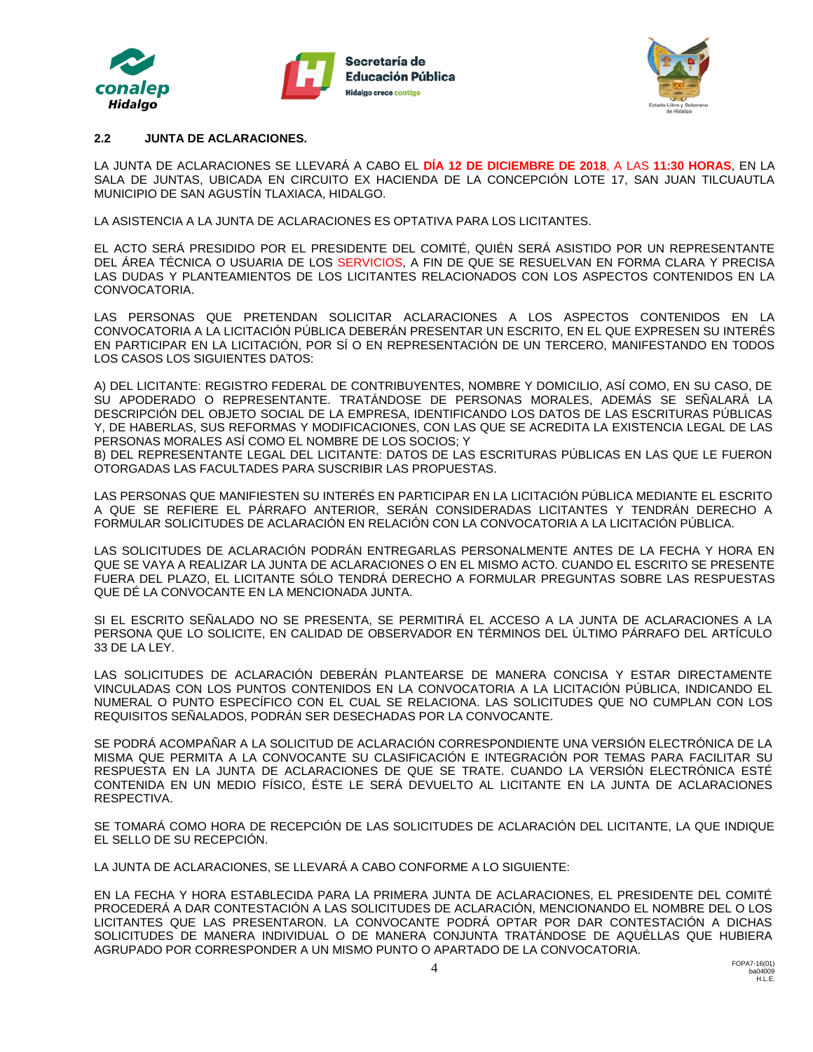





#### **2.2 JUNTA DE ACLARACIONES.**

LA JUNTA DE ACLARACIONES SE LLEVARÁ A CABO EL **DÍA 12 DE DICIEMBRE DE 2018**, A LAS **11:30 HORAS**, EN LA SALA DE JUNTAS, UBICADA EN CIRCUITO EX HACIENDA DE LA CONCEPCIÓN LOTE 17, SAN JUAN TILCUAUTLA MUNICIPIO DE SAN AGUSTÍN TLAXIACA, HIDALGO.

LA ASISTENCIA A LA JUNTA DE ACLARACIONES ES OPTATIVA PARA LOS LICITANTES.

EL ACTO SERÁ PRESIDIDO POR EL PRESIDENTE DEL COMITÉ, QUIÉN SERÁ ASISTIDO POR UN REPRESENTANTE DEL ÁREA TÉCNICA O USUARIA DE LOS SERVICIOS, A FIN DE QUE SE RESUELVAN EN FORMA CLARA Y PRECISA LAS DUDAS Y PLANTEAMIENTOS DE LOS LICITANTES RELACIONADOS CON LOS ASPECTOS CONTENIDOS EN LA CONVOCATORIA.

LAS PERSONAS QUE PRETENDAN SOLICITAR ACLARACIONES A LOS ASPECTOS CONTENIDOS EN LA CONVOCATORIA A LA LICITACIÓN PÚBLICA DEBERÁN PRESENTAR UN ESCRITO, EN EL QUE EXPRESEN SU INTERÉS EN PARTICIPAR EN LA LICITACIÓN, POR SÍ O EN REPRESENTACIÓN DE UN TERCERO, MANIFESTANDO EN TODOS LOS CASOS LOS SIGUIENTES DATOS:

A) DEL LICITANTE: REGISTRO FEDERAL DE CONTRIBUYENTES, NOMBRE Y DOMICILIO, ASÍ COMO, EN SU CASO, DE SU APODERADO O REPRESENTANTE. TRATÁNDOSE DE PERSONAS MORALES, ADEMÁS SE SEÑALARÁ LA DESCRIPCIÓN DEL OBJETO SOCIAL DE LA EMPRESA, IDENTIFICANDO LOS DATOS DE LAS ESCRITURAS PÚBLICAS Y, DE HABERLAS, SUS REFORMAS Y MODIFICACIONES, CON LAS QUE SE ACREDITA LA EXISTENCIA LEGAL DE LAS PERSONAS MORALES ASÍ COMO EL NOMBRE DE LOS SOCIOS; Y

B) DEL REPRESENTANTE LEGAL DEL LICITANTE: DATOS DE LAS ESCRITURAS PÚBLICAS EN LAS QUE LE FUERON OTORGADAS LAS FACULTADES PARA SUSCRIBIR LAS PROPUESTAS.

LAS PERSONAS QUE MANIFIESTEN SU INTERÉS EN PARTICIPAR EN LA LICITACIÓN PÚBLICA MEDIANTE EL ESCRITO A QUE SE REFIERE EL PÁRRAFO ANTERIOR, SERÁN CONSIDERADAS LICITANTES Y TENDRÁN DERECHO A FORMULAR SOLICITUDES DE ACLARACIÓN EN RELACIÓN CON LA CONVOCATORIA A LA LICITACIÓN PÚBLICA.

LAS SOLICITUDES DE ACLARACIÓN PODRÁN ENTREGARLAS PERSONALMENTE ANTES DE LA FECHA Y HORA EN QUE SE VAYA A REALIZAR LA JUNTA DE ACLARACIONES O EN EL MISMO ACTO. CUANDO EL ESCRITO SE PRESENTE FUERA DEL PLAZO, EL LICITANTE SÓLO TENDRÁ DERECHO A FORMULAR PREGUNTAS SOBRE LAS RESPUESTAS QUE DÉ LA CONVOCANTE EN LA MENCIONADA JUNTA.

SI EL ESCRITO SEÑALADO NO SE PRESENTA, SE PERMITIRÁ EL ACCESO A LA JUNTA DE ACLARACIONES A LA PERSONA QUE LO SOLICITE, EN CALIDAD DE OBSERVADOR EN TÉRMINOS DEL ÚLTIMO PÁRRAFO DEL ARTÍCULO 33 DE LA LEY.

LAS SOLICITUDES DE ACLARACIÓN DEBERÁN PLANTEARSE DE MANERA CONCISA Y ESTAR DIRECTAMENTE VINCULADAS CON LOS PUNTOS CONTENIDOS EN LA CONVOCATORIA A LA LICITACIÓN PÚBLICA, INDICANDO EL NUMERAL O PUNTO ESPECÍFICO CON EL CUAL SE RELACIONA. LAS SOLICITUDES QUE NO CUMPLAN CON LOS REQUISITOS SEÑALADOS, PODRÁN SER DESECHADAS POR LA CONVOCANTE.

SE PODRÁ ACOMPAÑAR A LA SOLICITUD DE ACLARACIÓN CORRESPONDIENTE UNA VERSIÓN ELECTRÓNICA DE LA MISMA QUE PERMITA A LA CONVOCANTE SU CLASIFICACIÓN E INTEGRACIÓN POR TEMAS PARA FACILITAR SU RESPUESTA EN LA JUNTA DE ACLARACIONES DE QUE SE TRATE. CUANDO LA VERSIÓN ELECTRÓNICA ESTÉ CONTENIDA EN UN MEDIO FÍSICO, ÉSTE LE SERÁ DEVUELTO AL LICITANTE EN LA JUNTA DE ACLARACIONES RESPECTIVA.

SE TOMARÁ COMO HORA DE RECEPCIÓN DE LAS SOLICITUDES DE ACLARACIÓN DEL LICITANTE, LA QUE INDIQUE EL SELLO DE SU RECEPCIÓN.

LA JUNTA DE ACLARACIONES, SE LLEVARÁ A CABO CONFORME A LO SIGUIENTE:

EN LA FECHA Y HORA ESTABLECIDA PARA LA PRIMERA JUNTA DE ACLARACIONES, EL PRESIDENTE DEL COMITÉ PROCEDERÁ A DAR CONTESTACIÓN A LAS SOLICITUDES DE ACLARACIÓN, MENCIONANDO EL NOMBRE DEL O LOS LICITANTES QUE LAS PRESENTARON. LA CONVOCANTE PODRÁ OPTAR POR DAR CONTESTACIÓN A DICHAS SOLICITUDES DE MANERA INDIVIDUAL O DE MANERA CONJUNTA TRATÁNDOSE DE AQUÉLLAS QUE HUBIERA AGRUPADO POR CORRESPONDER A UN MISMO PUNTO O APARTADO DE LA CONVOCATORIA.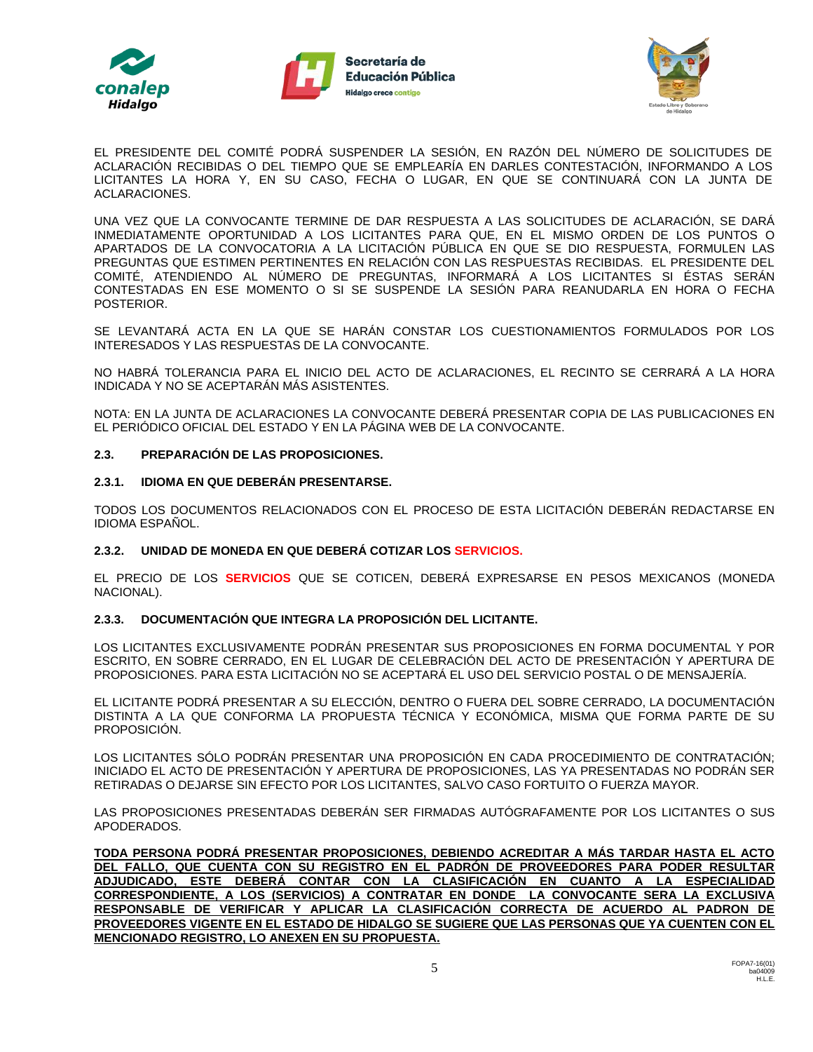





EL PRESIDENTE DEL COMITÉ PODRÁ SUSPENDER LA SESIÓN, EN RAZÓN DEL NÚMERO DE SOLICITUDES DE ACLARACIÓN RECIBIDAS O DEL TIEMPO QUE SE EMPLEARÍA EN DARLES CONTESTACIÓN, INFORMANDO A LOS LICITANTES LA HORA Y, EN SU CASO, FECHA O LUGAR, EN QUE SE CONTINUARÁ CON LA JUNTA DE ACLARACIONES.

UNA VEZ QUE LA CONVOCANTE TERMINE DE DAR RESPUESTA A LAS SOLICITUDES DE ACLARACIÓN, SE DARÁ INMEDIATAMENTE OPORTUNIDAD A LOS LICITANTES PARA QUE, EN EL MISMO ORDEN DE LOS PUNTOS O APARTADOS DE LA CONVOCATORIA A LA LICITACIÓN PÚBLICA EN QUE SE DIO RESPUESTA, FORMULEN LAS PREGUNTAS QUE ESTIMEN PERTINENTES EN RELACIÓN CON LAS RESPUESTAS RECIBIDAS. EL PRESIDENTE DEL COMITÉ, ATENDIENDO AL NÚMERO DE PREGUNTAS, INFORMARÁ A LOS LICITANTES SI ÉSTAS SERÁN CONTESTADAS EN ESE MOMENTO O SI SE SUSPENDE LA SESIÓN PARA REANUDARLA EN HORA O FECHA POSTERIOR.

SE LEVANTARÁ ACTA EN LA QUE SE HARÁN CONSTAR LOS CUESTIONAMIENTOS FORMULADOS POR LOS INTERESADOS Y LAS RESPUESTAS DE LA CONVOCANTE.

NO HABRÁ TOLERANCIA PARA EL INICIO DEL ACTO DE ACLARACIONES, EL RECINTO SE CERRARÁ A LA HORA INDICADA Y NO SE ACEPTARÁN MÁS ASISTENTES.

NOTA: EN LA JUNTA DE ACLARACIONES LA CONVOCANTE DEBERÁ PRESENTAR COPIA DE LAS PUBLICACIONES EN EL PERIÓDICO OFICIAL DEL ESTADO Y EN LA PÁGINA WEB DE LA CONVOCANTE.

#### **2.3. PREPARACIÓN DE LAS PROPOSICIONES.**

#### **2.3.1. IDIOMA EN QUE DEBERÁN PRESENTARSE.**

TODOS LOS DOCUMENTOS RELACIONADOS CON EL PROCESO DE ESTA LICITACIÓN DEBERÁN REDACTARSE EN IDIOMA ESPAÑOL.

### **2.3.2. UNIDAD DE MONEDA EN QUE DEBERÁ COTIZAR LOS SERVICIOS.**

EL PRECIO DE LOS **SERVICIOS** QUE SE COTICEN, DEBERÁ EXPRESARSE EN PESOS MEXICANOS (MONEDA NACIONAL).

### **2.3.3. DOCUMENTACIÓN QUE INTEGRA LA PROPOSICIÓN DEL LICITANTE.**

LOS LICITANTES EXCLUSIVAMENTE PODRÁN PRESENTAR SUS PROPOSICIONES EN FORMA DOCUMENTAL Y POR ESCRITO, EN SOBRE CERRADO, EN EL LUGAR DE CELEBRACIÓN DEL ACTO DE PRESENTACIÓN Y APERTURA DE PROPOSICIONES. PARA ESTA LICITACIÓN NO SE ACEPTARÁ EL USO DEL SERVICIO POSTAL O DE MENSAJERÍA.

EL LICITANTE PODRÁ PRESENTAR A SU ELECCIÓN, DENTRO O FUERA DEL SOBRE CERRADO, LA DOCUMENTACIÓN DISTINTA A LA QUE CONFORMA LA PROPUESTA TÉCNICA Y ECONÓMICA, MISMA QUE FORMA PARTE DE SU PROPOSICIÓN.

LOS LICITANTES SÓLO PODRÁN PRESENTAR UNA PROPOSICIÓN EN CADA PROCEDIMIENTO DE CONTRATACIÓN; INICIADO EL ACTO DE PRESENTACIÓN Y APERTURA DE PROPOSICIONES, LAS YA PRESENTADAS NO PODRÁN SER RETIRADAS O DEJARSE SIN EFECTO POR LOS LICITANTES, SALVO CASO FORTUITO O FUERZA MAYOR.

LAS PROPOSICIONES PRESENTADAS DEBERÁN SER FIRMADAS AUTÓGRAFAMENTE POR LOS LICITANTES O SUS APODERADOS.

**TODA PERSONA PODRÁ PRESENTAR PROPOSICIONES, DEBIENDO ACREDITAR A MÁS TARDAR HASTA EL ACTO DEL FALLO, QUE CUENTA CON SU REGISTRO EN EL PADRÓN DE PROVEEDORES PARA PODER RESULTAR ADJUDICADO, ESTE DEBERÁ CONTAR CON LA CLASIFICACIÓN EN CUANTO A LA ESPECIALIDAD CORRESPONDIENTE, A LOS (SERVICIOS) A CONTRATAR EN DONDE LA CONVOCANTE SERA LA EXCLUSIVA RESPONSABLE DE VERIFICAR Y APLICAR LA CLASIFICACIÓN CORRECTA DE ACUERDO AL PADRON DE PROVEEDORES VIGENTE EN EL ESTADO DE HIDALGO SE SUGIERE QUE LAS PERSONAS QUE YA CUENTEN CON EL MENCIONADO REGISTRO, LO ANEXEN EN SU PROPUESTA.**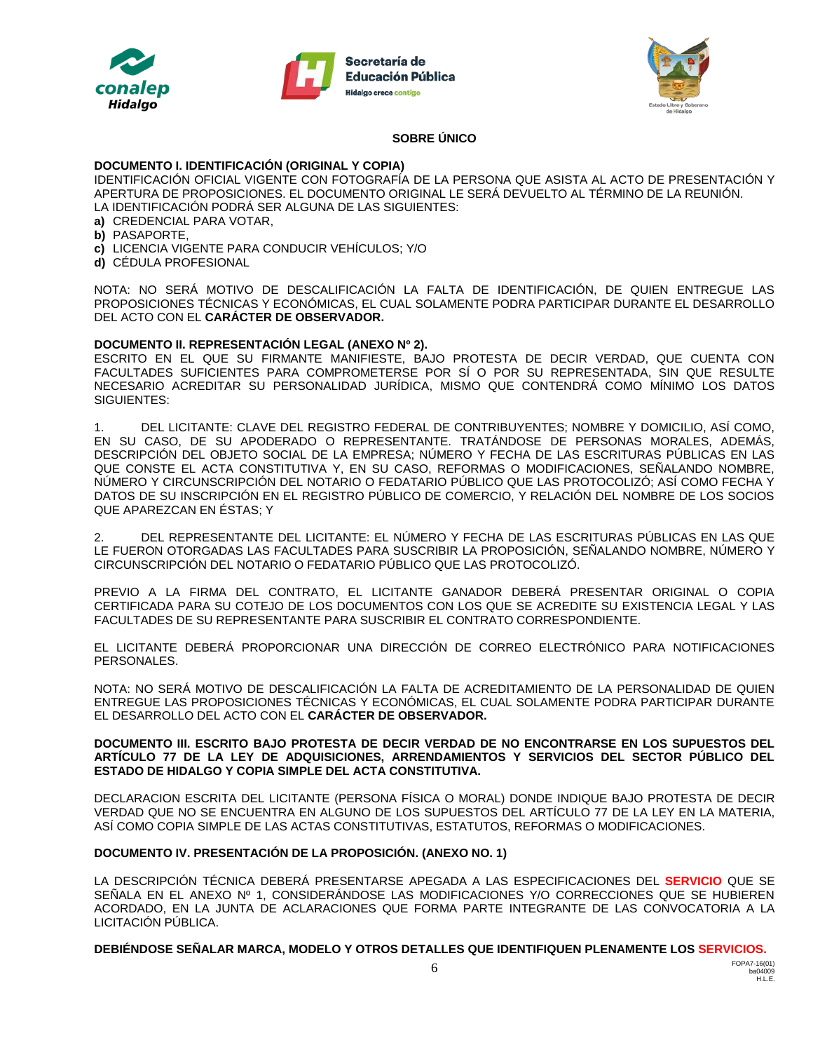





#### **SOBRE ÚNICO**

#### **DOCUMENTO I. IDENTIFICACIÓN (ORIGINAL Y COPIA)**

IDENTIFICACIÓN OFICIAL VIGENTE CON FOTOGRAFÍA DE LA PERSONA QUE ASISTA AL ACTO DE PRESENTACIÓN Y APERTURA DE PROPOSICIONES. EL DOCUMENTO ORIGINAL LE SERÁ DEVUELTO AL TÉRMINO DE LA REUNIÓN. LA IDENTIFICACIÓN PODRÁ SER ALGUNA DE LAS SIGUIENTES:

- **a)** CREDENCIAL PARA VOTAR,
- **b)** PASAPORTE,
- **c)** LICENCIA VIGENTE PARA CONDUCIR VEHÍCULOS; Y/O
- **d)** CÉDULA PROFESIONAL

NOTA: NO SERÁ MOTIVO DE DESCALIFICACIÓN LA FALTA DE IDENTIFICACIÓN, DE QUIEN ENTREGUE LAS PROPOSICIONES TÉCNICAS Y ECONÓMICAS, EL CUAL SOLAMENTE PODRA PARTICIPAR DURANTE EL DESARROLLO DEL ACTO CON EL **CARÁCTER DE OBSERVADOR.**

#### **DOCUMENTO II. REPRESENTACIÓN LEGAL (ANEXO Nº 2).**

ESCRITO EN EL QUE SU FIRMANTE MANIFIESTE, BAJO PROTESTA DE DECIR VERDAD, QUE CUENTA CON FACULTADES SUFICIENTES PARA COMPROMETERSE POR SÍ O POR SU REPRESENTADA, SIN QUE RESULTE NECESARIO ACREDITAR SU PERSONALIDAD JURÍDICA, MISMO QUE CONTENDRÁ COMO MÍNIMO LOS DATOS SIGUIENTES:

1. DEL LICITANTE: CLAVE DEL REGISTRO FEDERAL DE CONTRIBUYENTES; NOMBRE Y DOMICILIO, ASÍ COMO, EN SU CASO, DE SU APODERADO O REPRESENTANTE. TRATÁNDOSE DE PERSONAS MORALES, ADEMÁS, DESCRIPCIÓN DEL OBJETO SOCIAL DE LA EMPRESA; NÚMERO Y FECHA DE LAS ESCRITURAS PÚBLICAS EN LAS QUE CONSTE EL ACTA CONSTITUTIVA Y, EN SU CASO, REFORMAS O MODIFICACIONES, SEÑALANDO NOMBRE, NÚMERO Y CIRCUNSCRIPCIÓN DEL NOTARIO O FEDATARIO PÚBLICO QUE LAS PROTOCOLIZÓ; ASÍ COMO FECHA Y DATOS DE SU INSCRIPCIÓN EN EL REGISTRO PÚBLICO DE COMERCIO, Y RELACIÓN DEL NOMBRE DE LOS SOCIOS QUE APAREZCAN EN ÉSTAS; Y

2. DEL REPRESENTANTE DEL LICITANTE: EL NÚMERO Y FECHA DE LAS ESCRITURAS PÚBLICAS EN LAS QUE LE FUERON OTORGADAS LAS FACULTADES PARA SUSCRIBIR LA PROPOSICIÓN, SEÑALANDO NOMBRE, NÚMERO Y CIRCUNSCRIPCIÓN DEL NOTARIO O FEDATARIO PÚBLICO QUE LAS PROTOCOLIZÓ.

PREVIO A LA FIRMA DEL CONTRATO, EL LICITANTE GANADOR DEBERÁ PRESENTAR ORIGINAL O COPIA CERTIFICADA PARA SU COTEJO DE LOS DOCUMENTOS CON LOS QUE SE ACREDITE SU EXISTENCIA LEGAL Y LAS FACULTADES DE SU REPRESENTANTE PARA SUSCRIBIR EL CONTRATO CORRESPONDIENTE.

EL LICITANTE DEBERÁ PROPORCIONAR UNA DIRECCIÓN DE CORREO ELECTRÓNICO PARA NOTIFICACIONES PERSONALES.

NOTA: NO SERÁ MOTIVO DE DESCALIFICACIÓN LA FALTA DE ACREDITAMIENTO DE LA PERSONALIDAD DE QUIEN ENTREGUE LAS PROPOSICIONES TÉCNICAS Y ECONÓMICAS, EL CUAL SOLAMENTE PODRA PARTICIPAR DURANTE EL DESARROLLO DEL ACTO CON EL **CARÁCTER DE OBSERVADOR.**

#### **DOCUMENTO III. ESCRITO BAJO PROTESTA DE DECIR VERDAD DE NO ENCONTRARSE EN LOS SUPUESTOS DEL ARTÍCULO 77 DE LA LEY DE ADQUISICIONES, ARRENDAMIENTOS Y SERVICIOS DEL SECTOR PÚBLICO DEL ESTADO DE HIDALGO Y COPIA SIMPLE DEL ACTA CONSTITUTIVA.**

DECLARACION ESCRITA DEL LICITANTE (PERSONA FÍSICA O MORAL) DONDE INDIQUE BAJO PROTESTA DE DECIR VERDAD QUE NO SE ENCUENTRA EN ALGUNO DE LOS SUPUESTOS DEL ARTÍCULO 77 DE LA LEY EN LA MATERIA, ASÍ COMO COPIA SIMPLE DE LAS ACTAS CONSTITUTIVAS, ESTATUTOS, REFORMAS O MODIFICACIONES.

### **DOCUMENTO IV. PRESENTACIÓN DE LA PROPOSICIÓN. (ANEXO NO. 1)**

LA DESCRIPCIÓN TÉCNICA DEBERÁ PRESENTARSE APEGADA A LAS ESPECIFICACIONES DEL **SERVICIO** QUE SE SEÑALA EN EL ANEXO Nº 1, CONSIDERÁNDOSE LAS MODIFICACIONES Y/O CORRECCIONES QUE SE HUBIEREN ACORDADO, EN LA JUNTA DE ACLARACIONES QUE FORMA PARTE INTEGRANTE DE LAS CONVOCATORIA A LA LICITACIÓN PÚBLICA.

**DEBIÉNDOSE SEÑALAR MARCA, MODELO Y OTROS DETALLES QUE IDENTIFIQUEN PLENAMENTE LOS SERVICIOS.**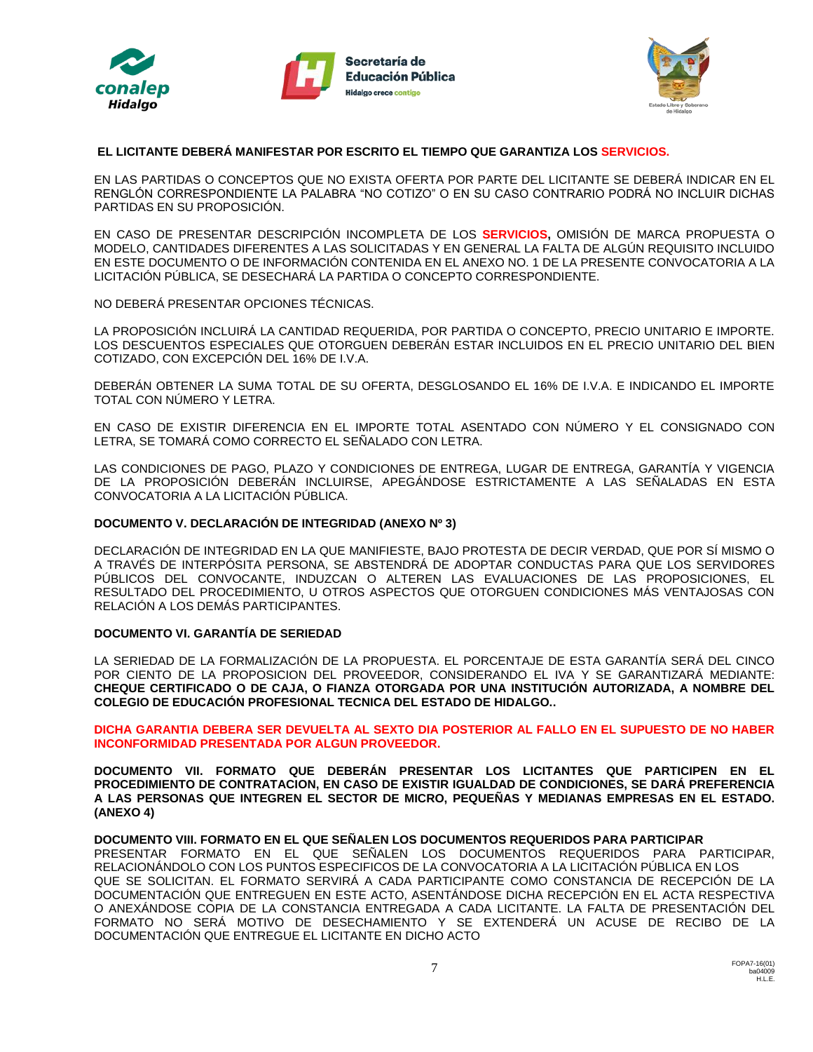





#### **EL LICITANTE DEBERÁ MANIFESTAR POR ESCRITO EL TIEMPO QUE GARANTIZA LOS SERVICIOS.**

EN LAS PARTIDAS O CONCEPTOS QUE NO EXISTA OFERTA POR PARTE DEL LICITANTE SE DEBERÁ INDICAR EN EL RENGLÓN CORRESPONDIENTE LA PALABRA "NO COTIZO" O EN SU CASO CONTRARIO PODRÁ NO INCLUIR DICHAS PARTIDAS EN SU PROPOSICIÓN.

EN CASO DE PRESENTAR DESCRIPCIÓN INCOMPLETA DE LOS **SERVICIOS,** OMISIÓN DE MARCA PROPUESTA O MODELO, CANTIDADES DIFERENTES A LAS SOLICITADAS Y EN GENERAL LA FALTA DE ALGÚN REQUISITO INCLUIDO EN ESTE DOCUMENTO O DE INFORMACIÓN CONTENIDA EN EL ANEXO NO. 1 DE LA PRESENTE CONVOCATORIA A LA LICITACIÓN PÚBLICA, SE DESECHARÁ LA PARTIDA O CONCEPTO CORRESPONDIENTE.

NO DEBERÁ PRESENTAR OPCIONES TÉCNICAS.

LA PROPOSICIÓN INCLUIRÁ LA CANTIDAD REQUERIDA, POR PARTIDA O CONCEPTO, PRECIO UNITARIO E IMPORTE. LOS DESCUENTOS ESPECIALES QUE OTORGUEN DEBERÁN ESTAR INCLUIDOS EN EL PRECIO UNITARIO DEL BIEN COTIZADO, CON EXCEPCIÓN DEL 16% DE I.V.A.

DEBERÁN OBTENER LA SUMA TOTAL DE SU OFERTA, DESGLOSANDO EL 16% DE I.V.A. E INDICANDO EL IMPORTE TOTAL CON NÚMERO Y LETRA.

EN CASO DE EXISTIR DIFERENCIA EN EL IMPORTE TOTAL ASENTADO CON NÚMERO Y EL CONSIGNADO CON LETRA, SE TOMARÁ COMO CORRECTO EL SEÑALADO CON LETRA.

LAS CONDICIONES DE PAGO, PLAZO Y CONDICIONES DE ENTREGA, LUGAR DE ENTREGA, GARANTÍA Y VIGENCIA DE LA PROPOSICIÓN DEBERÁN INCLUIRSE, APEGÁNDOSE ESTRICTAMENTE A LAS SEÑALADAS EN ESTA CONVOCATORIA A LA LICITACIÓN PÚBLICA.

#### **DOCUMENTO V. DECLARACIÓN DE INTEGRIDAD (ANEXO Nº 3)**

DECLARACIÓN DE INTEGRIDAD EN LA QUE MANIFIESTE, BAJO PROTESTA DE DECIR VERDAD, QUE POR SÍ MISMO O A TRAVÉS DE INTERPÓSITA PERSONA, SE ABSTENDRÁ DE ADOPTAR CONDUCTAS PARA QUE LOS SERVIDORES PÚBLICOS DEL CONVOCANTE, INDUZCAN O ALTEREN LAS EVALUACIONES DE LAS PROPOSICIONES, EL RESULTADO DEL PROCEDIMIENTO, U OTROS ASPECTOS QUE OTORGUEN CONDICIONES MÁS VENTAJOSAS CON RELACIÓN A LOS DEMÁS PARTICIPANTES.

#### **DOCUMENTO VI. GARANTÍA DE SERIEDAD**

LA SERIEDAD DE LA FORMALIZACIÓN DE LA PROPUESTA. EL PORCENTAJE DE ESTA GARANTÍA SERÁ DEL CINCO POR CIENTO DE LA PROPOSICION DEL PROVEEDOR, CONSIDERANDO EL IVA Y SE GARANTIZARÁ MEDIANTE: **CHEQUE CERTIFICADO O DE CAJA, O FIANZA OTORGADA POR UNA INSTITUCIÓN AUTORIZADA, A NOMBRE DEL COLEGIO DE EDUCACIÓN PROFESIONAL TECNICA DEL ESTADO DE HIDALGO..** 

**DICHA GARANTIA DEBERA SER DEVUELTA AL SEXTO DIA POSTERIOR AL FALLO EN EL SUPUESTO DE NO HABER INCONFORMIDAD PRESENTADA POR ALGUN PROVEEDOR.**

**DOCUMENTO VII. FORMATO QUE DEBERÁN PRESENTAR LOS LICITANTES QUE PARTICIPEN EN EL PROCEDIMIENTO DE CONTRATACION, EN CASO DE EXISTIR IGUALDAD DE CONDICIONES, SE DARÁ PREFERENCIA A LAS PERSONAS QUE INTEGREN EL SECTOR DE MICRO, PEQUEÑAS Y MEDIANAS EMPRESAS EN EL ESTADO. (ANEXO 4)**

#### **DOCUMENTO VIII. FORMATO EN EL QUE SEÑALEN LOS DOCUMENTOS REQUERIDOS PARA PARTICIPAR**

PRESENTAR FORMATO EN EL QUE SEÑALEN LOS DOCUMENTOS REQUERIDOS PARA PARTICIPAR, RELACIONÁNDOLO CON LOS PUNTOS ESPECIFICOS DE LA CONVOCATORIA A LA LICITACIÓN PÚBLICA EN LOS QUE SE SOLICITAN. EL FORMATO SERVIRÁ A CADA PARTICIPANTE COMO CONSTANCIA DE RECEPCIÓN DE LA DOCUMENTACIÓN QUE ENTREGUEN EN ESTE ACTO, ASENTÁNDOSE DICHA RECEPCIÓN EN EL ACTA RESPECTIVA O ANEXÁNDOSE COPIA DE LA CONSTANCIA ENTREGADA A CADA LICITANTE. LA FALTA DE PRESENTACIÓN DEL FORMATO NO SERÁ MOTIVO DE DESECHAMIENTO Y SE EXTENDERÁ UN ACUSE DE RECIBO DE LA DOCUMENTACIÓN QUE ENTREGUE EL LICITANTE EN DICHO ACTO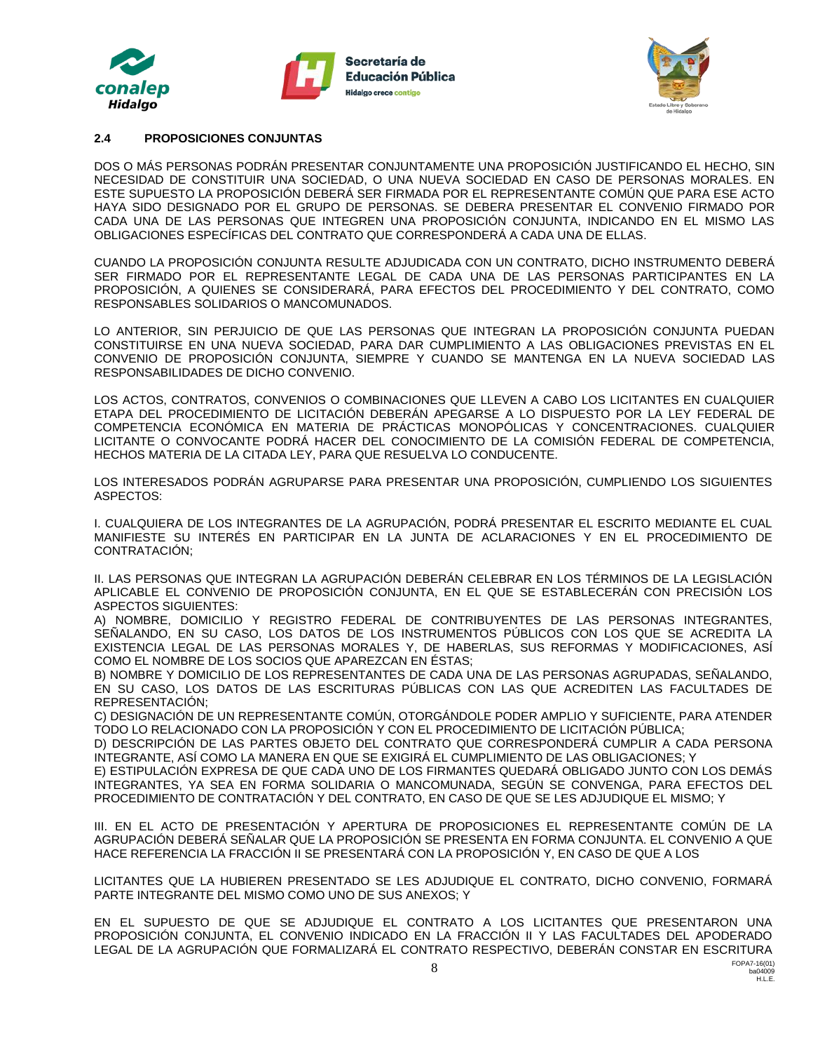





#### **2.4 PROPOSICIONES CONJUNTAS**

DOS O MÁS PERSONAS PODRÁN PRESENTAR CONJUNTAMENTE UNA PROPOSICIÓN JUSTIFICANDO EL HECHO, SIN NECESIDAD DE CONSTITUIR UNA SOCIEDAD, O UNA NUEVA SOCIEDAD EN CASO DE PERSONAS MORALES. EN ESTE SUPUESTO LA PROPOSICIÓN DEBERÁ SER FIRMADA POR EL REPRESENTANTE COMÚN QUE PARA ESE ACTO HAYA SIDO DESIGNADO POR EL GRUPO DE PERSONAS. SE DEBERA PRESENTAR EL CONVENIO FIRMADO POR CADA UNA DE LAS PERSONAS QUE INTEGREN UNA PROPOSICIÓN CONJUNTA, INDICANDO EN EL MISMO LAS OBLIGACIONES ESPECÍFICAS DEL CONTRATO QUE CORRESPONDERÁ A CADA UNA DE ELLAS.

CUANDO LA PROPOSICIÓN CONJUNTA RESULTE ADJUDICADA CON UN CONTRATO, DICHO INSTRUMENTO DEBERÁ SER FIRMADO POR EL REPRESENTANTE LEGAL DE CADA UNA DE LAS PERSONAS PARTICIPANTES EN LA PROPOSICIÓN, A QUIENES SE CONSIDERARÁ, PARA EFECTOS DEL PROCEDIMIENTO Y DEL CONTRATO, COMO RESPONSABLES SOLIDARIOS O MANCOMUNADOS.

LO ANTERIOR, SIN PERJUICIO DE QUE LAS PERSONAS QUE INTEGRAN LA PROPOSICIÓN CONJUNTA PUEDAN CONSTITUIRSE EN UNA NUEVA SOCIEDAD, PARA DAR CUMPLIMIENTO A LAS OBLIGACIONES PREVISTAS EN EL CONVENIO DE PROPOSICIÓN CONJUNTA, SIEMPRE Y CUANDO SE MANTENGA EN LA NUEVA SOCIEDAD LAS RESPONSABILIDADES DE DICHO CONVENIO.

LOS ACTOS, CONTRATOS, CONVENIOS O COMBINACIONES QUE LLEVEN A CABO LOS LICITANTES EN CUALQUIER ETAPA DEL PROCEDIMIENTO DE LICITACIÓN DEBERÁN APEGARSE A LO DISPUESTO POR LA LEY FEDERAL DE COMPETENCIA ECONÓMICA EN MATERIA DE PRÁCTICAS MONOPÓLICAS Y CONCENTRACIONES. CUALQUIER LICITANTE O CONVOCANTE PODRÁ HACER DEL CONOCIMIENTO DE LA COMISIÓN FEDERAL DE COMPETENCIA, HECHOS MATERIA DE LA CITADA LEY, PARA QUE RESUELVA LO CONDUCENTE.

LOS INTERESADOS PODRÁN AGRUPARSE PARA PRESENTAR UNA PROPOSICIÓN, CUMPLIENDO LOS SIGUIENTES ASPECTOS:

I. CUALQUIERA DE LOS INTEGRANTES DE LA AGRUPACIÓN, PODRÁ PRESENTAR EL ESCRITO MEDIANTE EL CUAL MANIFIESTE SU INTERÉS EN PARTICIPAR EN LA JUNTA DE ACLARACIONES Y EN EL PROCEDIMIENTO DE CONTRATACIÓN;

II. LAS PERSONAS QUE INTEGRAN LA AGRUPACIÓN DEBERÁN CELEBRAR EN LOS TÉRMINOS DE LA LEGISLACIÓN APLICABLE EL CONVENIO DE PROPOSICIÓN CONJUNTA, EN EL QUE SE ESTABLECERÁN CON PRECISIÓN LOS ASPECTOS SIGUIENTES:

A) NOMBRE, DOMICILIO Y REGISTRO FEDERAL DE CONTRIBUYENTES DE LAS PERSONAS INTEGRANTES, SEÑALANDO, EN SU CASO, LOS DATOS DE LOS INSTRUMENTOS PÚBLICOS CON LOS QUE SE ACREDITA LA EXISTENCIA LEGAL DE LAS PERSONAS MORALES Y, DE HABERLAS, SUS REFORMAS Y MODIFICACIONES, ASÍ COMO EL NOMBRE DE LOS SOCIOS QUE APAREZCAN EN ÉSTAS;

B) NOMBRE Y DOMICILIO DE LOS REPRESENTANTES DE CADA UNA DE LAS PERSONAS AGRUPADAS, SEÑALANDO, EN SU CASO, LOS DATOS DE LAS ESCRITURAS PÚBLICAS CON LAS QUE ACREDITEN LAS FACULTADES DE REPRESENTACIÓN;

C) DESIGNACIÓN DE UN REPRESENTANTE COMÚN, OTORGÁNDOLE PODER AMPLIO Y SUFICIENTE, PARA ATENDER TODO LO RELACIONADO CON LA PROPOSICIÓN Y CON EL PROCEDIMIENTO DE LICITACIÓN PÚBLICA;

D) DESCRIPCIÓN DE LAS PARTES OBJETO DEL CONTRATO QUE CORRESPONDERÁ CUMPLIR A CADA PERSONA INTEGRANTE, ASÍ COMO LA MANERA EN QUE SE EXIGIRÁ EL CUMPLIMIENTO DE LAS OBLIGACIONES; Y

E) ESTIPULACIÓN EXPRESA DE QUE CADA UNO DE LOS FIRMANTES QUEDARÁ OBLIGADO JUNTO CON LOS DEMÁS INTEGRANTES, YA SEA EN FORMA SOLIDARIA O MANCOMUNADA, SEGÚN SE CONVENGA, PARA EFECTOS DEL PROCEDIMIENTO DE CONTRATACIÓN Y DEL CONTRATO, EN CASO DE QUE SE LES ADJUDIQUE EL MISMO; Y

III. EN EL ACTO DE PRESENTACIÓN Y APERTURA DE PROPOSICIONES EL REPRESENTANTE COMÚN DE LA AGRUPACIÓN DEBERÁ SEÑALAR QUE LA PROPOSICIÓN SE PRESENTA EN FORMA CONJUNTA. EL CONVENIO A QUE HACE REFERENCIA LA FRACCIÓN II SE PRESENTARÁ CON LA PROPOSICIÓN Y, EN CASO DE QUE A LOS

LICITANTES QUE LA HUBIEREN PRESENTADO SE LES ADJUDIQUE EL CONTRATO, DICHO CONVENIO, FORMARÁ PARTE INTEGRANTE DEL MISMO COMO UNO DE SUS ANEXOS; Y

EN EL SUPUESTO DE QUE SE ADJUDIQUE EL CONTRATO A LOS LICITANTES QUE PRESENTARON UNA PROPOSICIÓN CONJUNTA, EL CONVENIO INDICADO EN LA FRACCIÓN II Y LAS FACULTADES DEL APODERADO LEGAL DE LA AGRUPACIÓN QUE FORMALIZARÁ EL CONTRATO RESPECTIVO, DEBERÁN CONSTAR EN ESCRITURA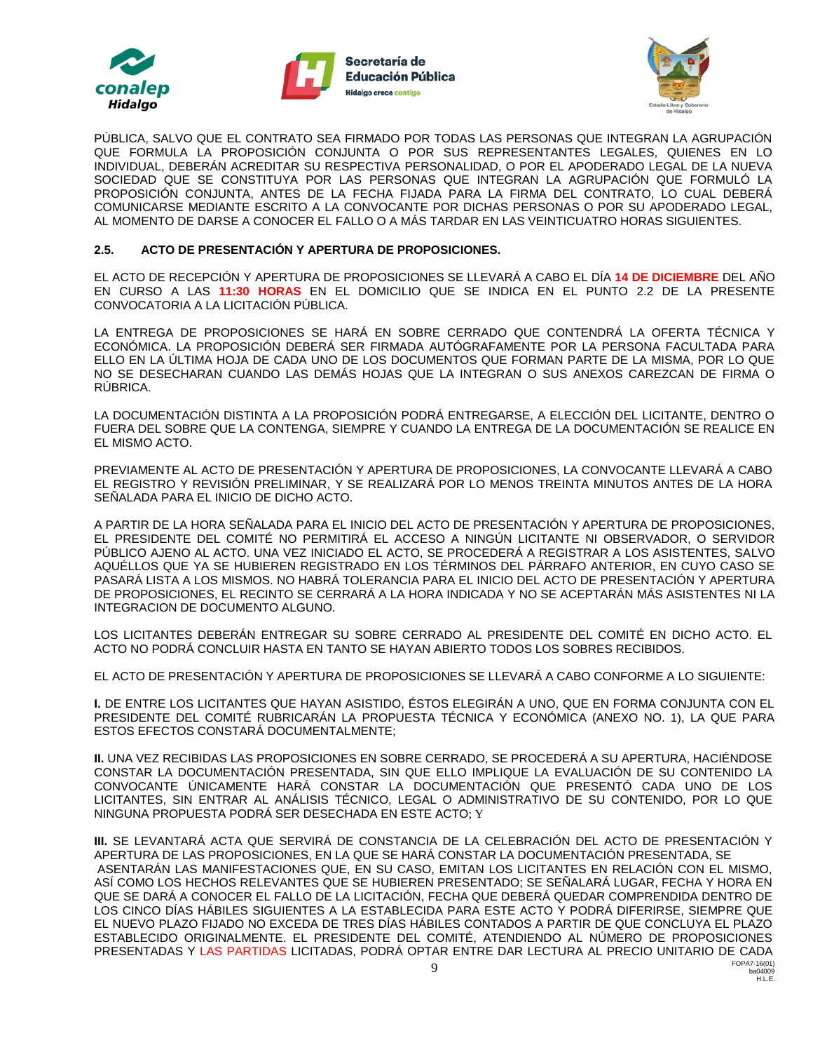





PÚBLICA, SALVO QUE EL CONTRATO SEA FIRMADO POR TODAS LAS PERSONAS QUE INTEGRAN LA AGRUPACIÓN QUE FORMULA LA PROPOSICIÓN CONJUNTA O POR SUS REPRESENTANTES LEGALES, QUIENES EN LO INDIVIDUAL, DEBERÁN ACREDITAR SU RESPECTIVA PERSONALIDAD, O POR EL APODERADO LEGAL DE LA NUEVA SOCIEDAD QUE SE CONSTITUYA POR LAS PERSONAS QUE INTEGRAN LA AGRUPACIÓN QUE FORMULÓ LA PROPOSICIÓN CONJUNTA, ANTES DE LA FECHA FIJADA PARA LA FIRMA DEL CONTRATO, LO CUAL DEBERÁ COMUNICARSE MEDIANTE ESCRITO A LA CONVOCANTE POR DICHAS PERSONAS O POR SU APODERADO LEGAL, AL MOMENTO DE DARSE A CONOCER EL FALLO O A MÁS TARDAR EN LAS VEINTICUATRO HORAS SIGUIENTES.

#### **2.5. ACTO DE PRESENTACIÓN Y APERTURA DE PROPOSICIONES.**

EL ACTO DE RECEPCIÓN Y APERTURA DE PROPOSICIONES SE LLEVARÁ A CABO EL DÍA **14 DE DICIEMBRE** DEL AÑO EN CURSO A LAS **11:30 HORAS** EN EL DOMICILIO QUE SE INDICA EN EL PUNTO 2.2 DE LA PRESENTE CONVOCATORIA A LA LICITACIÓN PÚBLICA.

LA ENTREGA DE PROPOSICIONES SE HARÁ EN SOBRE CERRADO QUE CONTENDRÁ LA OFERTA TÉCNICA Y ECONÓMICA. LA PROPOSICIÓN DEBERÁ SER FIRMADA AUTÓGRAFAMENTE POR LA PERSONA FACULTADA PARA ELLO EN LA ÚLTIMA HOJA DE CADA UNO DE LOS DOCUMENTOS QUE FORMAN PARTE DE LA MISMA, POR LO QUE NO SE DESECHARAN CUANDO LAS DEMÁS HOJAS QUE LA INTEGRAN O SUS ANEXOS CAREZCAN DE FIRMA O RÚBRICA.

LA DOCUMENTACIÓN DISTINTA A LA PROPOSICIÓN PODRÁ ENTREGARSE, A ELECCIÓN DEL LICITANTE, DENTRO O FUERA DEL SOBRE QUE LA CONTENGA, SIEMPRE Y CUANDO LA ENTREGA DE LA DOCUMENTACIÓN SE REALICE EN EL MISMO ACTO.

PREVIAMENTE AL ACTO DE PRESENTACIÓN Y APERTURA DE PROPOSICIONES, LA CONVOCANTE LLEVARÁ A CABO EL REGISTRO Y REVISIÓN PRELIMINAR, Y SE REALIZARÁ POR LO MENOS TREINTA MINUTOS ANTES DE LA HORA SEÑALADA PARA EL INICIO DE DICHO ACTO.

A PARTIR DE LA HORA SEÑALADA PARA EL INICIO DEL ACTO DE PRESENTACIÓN Y APERTURA DE PROPOSICIONES, EL PRESIDENTE DEL COMITÉ NO PERMITIRÁ EL ACCESO A NINGÚN LICITANTE NI OBSERVADOR, O SERVIDOR PÚBLICO AJENO AL ACTO. UNA VEZ INICIADO EL ACTO, SE PROCEDERÁ A REGISTRAR A LOS ASISTENTES, SALVO AQUÉLLOS QUE YA SE HUBIEREN REGISTRADO EN LOS TÉRMINOS DEL PÁRRAFO ANTERIOR, EN CUYO CASO SE PASARÁ LISTA A LOS MISMOS. NO HABRÁ TOLERANCIA PARA EL INICIO DEL ACTO DE PRESENTACIÓN Y APERTURA DE PROPOSICIONES, EL RECINTO SE CERRARÁ A LA HORA INDICADA Y NO SE ACEPTARÁN MÁS ASISTENTES NI LA INTEGRACION DE DOCUMENTO ALGUNO.

LOS LICITANTES DEBERÁN ENTREGAR SU SOBRE CERRADO AL PRESIDENTE DEL COMITÉ EN DICHO ACTO. EL ACTO NO PODRÁ CONCLUIR HASTA EN TANTO SE HAYAN ABIERTO TODOS LOS SOBRES RECIBIDOS.

EL ACTO DE PRESENTACIÓN Y APERTURA DE PROPOSICIONES SE LLEVARÁ A CABO CONFORME A LO SIGUIENTE:

**I.** DE ENTRE LOS LICITANTES QUE HAYAN ASISTIDO, ÉSTOS ELEGIRÁN A UNO, QUE EN FORMA CONJUNTA CON EL PRESIDENTE DEL COMITÉ RUBRICARÁN LA PROPUESTA TÉCNICA Y ECONÓMICA (ANEXO NO. 1), LA QUE PARA ESTOS EFECTOS CONSTARÁ DOCUMENTALMENTE;

**II.** UNA VEZ RECIBIDAS LAS PROPOSICIONES EN SOBRE CERRADO, SE PROCEDERÁ A SU APERTURA, HACIÉNDOSE CONSTAR LA DOCUMENTACIÓN PRESENTADA, SIN QUE ELLO IMPLIQUE LA EVALUACIÓN DE SU CONTENIDO LA CONVOCANTE ÚNICAMENTE HARÁ CONSTAR LA DOCUMENTACIÓN QUE PRESENTÓ CADA UNO DE LOS LICITANTES, SIN ENTRAR AL ANÁLISIS TÉCNICO, LEGAL O ADMINISTRATIVO DE SU CONTENIDO, POR LO QUE NINGUNA PROPUESTA PODRÁ SER DESECHADA EN ESTE ACTO; Y

**III.** SE LEVANTARÁ ACTA QUE SERVIRÁ DE CONSTANCIA DE LA CELEBRACIÓN DEL ACTO DE PRESENTACIÓN Y APERTURA DE LAS PROPOSICIONES, EN LA QUE SE HARÁ CONSTAR LA DOCUMENTACIÓN PRESENTADA, SE ASENTARÁN LAS MANIFESTACIONES QUE, EN SU CASO, EMITAN LOS LICITANTES EN RELACIÓN CON EL MISMO, ASÍ COMO LOS HECHOS RELEVANTES QUE SE HUBIEREN PRESENTADO; SE SEÑALARÁ LUGAR, FECHA Y HORA EN QUE SE DARÁ A CONOCER EL FALLO DE LA LICITACIÓN, FECHA QUE DEBERÁ QUEDAR COMPRENDIDA DENTRO DE LOS CINCO DÍAS HÁBILES SIGUIENTES A LA ESTABLECIDA PARA ESTE ACTO Y PODRÁ DIFERIRSE, SIEMPRE QUE EL NUEVO PLAZO FIJADO NO EXCEDA DE TRES DÍAS HÁBILES CONTADOS A PARTIR DE QUE CONCLUYA EL PLAZO ESTABLECIDO ORIGINALMENTE. EL PRESIDENTE DEL COMITÉ, ATENDIENDO AL NÚMERO DE PROPOSICIONES PRESENTADAS Y LAS PARTIDAS LICITADAS, PODRÁ OPTAR ENTRE DAR LECTURA AL PRECIO UNITARIO DE CADA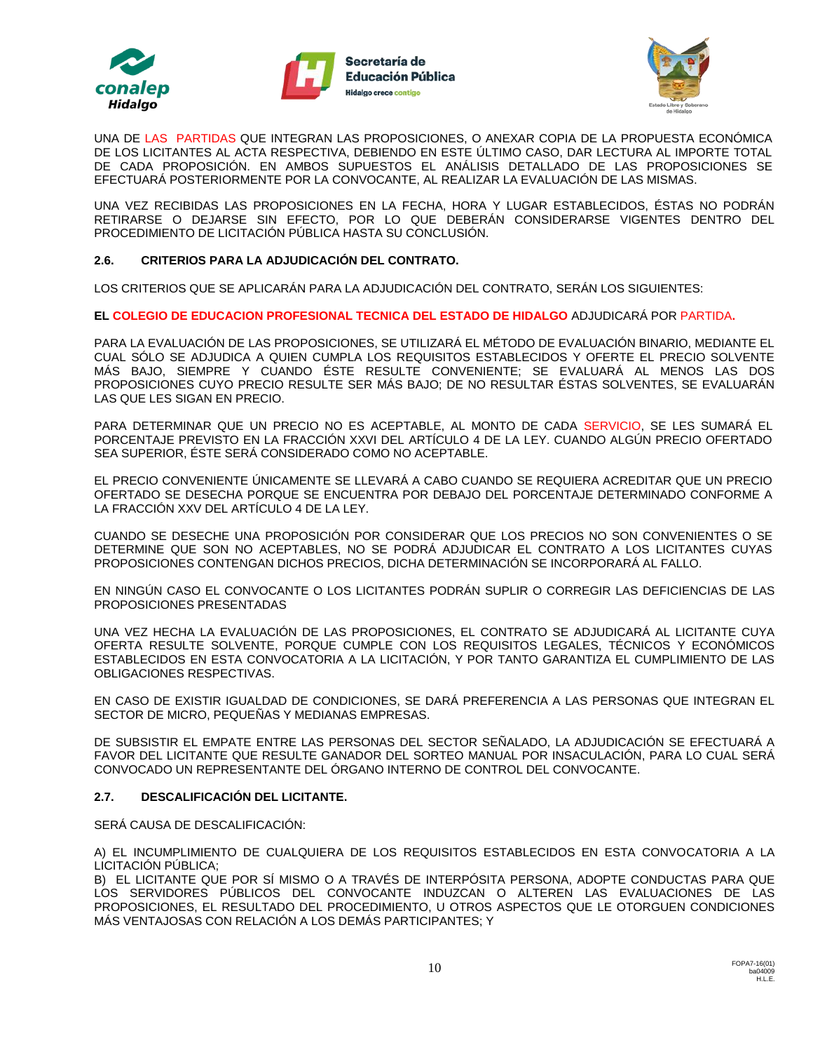





UNA DE LAS PARTIDAS QUE INTEGRAN LAS PROPOSICIONES, O ANEXAR COPIA DE LA PROPUESTA ECONÓMICA DE LOS LICITANTES AL ACTA RESPECTIVA, DEBIENDO EN ESTE ÚLTIMO CASO, DAR LECTURA AL IMPORTE TOTAL DE CADA PROPOSICIÓN. EN AMBOS SUPUESTOS EL ANÁLISIS DETALLADO DE LAS PROPOSICIONES SE EFECTUARÁ POSTERIORMENTE POR LA CONVOCANTE, AL REALIZAR LA EVALUACIÓN DE LAS MISMAS.

UNA VEZ RECIBIDAS LAS PROPOSICIONES EN LA FECHA, HORA Y LUGAR ESTABLECIDOS, ÉSTAS NO PODRÁN RETIRARSE O DEJARSE SIN EFECTO, POR LO QUE DEBERÁN CONSIDERARSE VIGENTES DENTRO DEL PROCEDIMIENTO DE LICITACIÓN PÚBLICA HASTA SU CONCLUSIÓN.

#### **2.6. CRITERIOS PARA LA ADJUDICACIÓN DEL CONTRATO.**

LOS CRITERIOS QUE SE APLICARÁN PARA LA ADJUDICACIÓN DEL CONTRATO, SERÁN LOS SIGUIENTES:

**EL COLEGIO DE EDUCACION PROFESIONAL TECNICA DEL ESTADO DE HIDALGO** ADJUDICARÁ POR PARTIDA**.**

PARA LA EVALUACIÓN DE LAS PROPOSICIONES, SE UTILIZARÁ EL MÉTODO DE EVALUACIÓN BINARIO, MEDIANTE EL CUAL SÓLO SE ADJUDICA A QUIEN CUMPLA LOS REQUISITOS ESTABLECIDOS Y OFERTE EL PRECIO SOLVENTE MÁS BAJO, SIEMPRE Y CUANDO ÉSTE RESULTE CONVENIENTE; SE EVALUARÁ AL MENOS LAS DOS PROPOSICIONES CUYO PRECIO RESULTE SER MÁS BAJO; DE NO RESULTAR ÉSTAS SOLVENTES, SE EVALUARÁN LAS QUE LES SIGAN EN PRECIO.

PARA DETERMINAR QUE UN PRECIO NO ES ACEPTABLE, AL MONTO DE CADA SERVICIO, SE LES SUMARÁ EL PORCENTAJE PREVISTO EN LA FRACCIÓN XXVI DEL ARTÍCULO 4 DE LA LEY. CUANDO ALGÚN PRECIO OFERTADO SEA SUPERIOR, ÉSTE SERÁ CONSIDERADO COMO NO ACEPTABLE.

EL PRECIO CONVENIENTE ÚNICAMENTE SE LLEVARÁ A CABO CUANDO SE REQUIERA ACREDITAR QUE UN PRECIO OFERTADO SE DESECHA PORQUE SE ENCUENTRA POR DEBAJO DEL PORCENTAJE DETERMINADO CONFORME A LA FRACCIÓN XXV DEL ARTÍCULO 4 DE LA LEY.

CUANDO SE DESECHE UNA PROPOSICIÓN POR CONSIDERAR QUE LOS PRECIOS NO SON CONVENIENTES O SE DETERMINE QUE SON NO ACEPTABLES, NO SE PODRÁ ADJUDICAR EL CONTRATO A LOS LICITANTES CUYAS PROPOSICIONES CONTENGAN DICHOS PRECIOS, DICHA DETERMINACIÓN SE INCORPORARÁ AL FALLO.

EN NINGÚN CASO EL CONVOCANTE O LOS LICITANTES PODRÁN SUPLIR O CORREGIR LAS DEFICIENCIAS DE LAS PROPOSICIONES PRESENTADAS

UNA VEZ HECHA LA EVALUACIÓN DE LAS PROPOSICIONES, EL CONTRATO SE ADJUDICARÁ AL LICITANTE CUYA OFERTA RESULTE SOLVENTE, PORQUE CUMPLE CON LOS REQUISITOS LEGALES, TÉCNICOS Y ECONÓMICOS ESTABLECIDOS EN ESTA CONVOCATORIA A LA LICITACIÓN, Y POR TANTO GARANTIZA EL CUMPLIMIENTO DE LAS OBLIGACIONES RESPECTIVAS.

EN CASO DE EXISTIR IGUALDAD DE CONDICIONES, SE DARÁ PREFERENCIA A LAS PERSONAS QUE INTEGRAN EL SECTOR DE MICRO, PEQUEÑAS Y MEDIANAS EMPRESAS.

DE SUBSISTIR EL EMPATE ENTRE LAS PERSONAS DEL SECTOR SEÑALADO, LA ADJUDICACIÓN SE EFECTUARÁ A FAVOR DEL LICITANTE QUE RESULTE GANADOR DEL SORTEO MANUAL POR INSACULACIÓN, PARA LO CUAL SERÁ CONVOCADO UN REPRESENTANTE DEL ÓRGANO INTERNO DE CONTROL DEL CONVOCANTE.

#### **2.7. DESCALIFICACIÓN DEL LICITANTE.**

SERÁ CAUSA DE DESCALIFICACIÓN:

A) EL INCUMPLIMIENTO DE CUALQUIERA DE LOS REQUISITOS ESTABLECIDOS EN ESTA CONVOCATORIA A LA LICITACIÓN PÚBLICA;

B) EL LICITANTE QUE POR SÍ MISMO O A TRAVÉS DE INTERPÓSITA PERSONA, ADOPTE CONDUCTAS PARA QUE LOS SERVIDORES PÚBLICOS DEL CONVOCANTE INDUZCAN O ALTEREN LAS EVALUACIONES DE LAS PROPOSICIONES, EL RESULTADO DEL PROCEDIMIENTO, U OTROS ASPECTOS QUE LE OTORGUEN CONDICIONES MÁS VENTAJOSAS CON RELACIÓN A LOS DEMÁS PARTICIPANTES; Y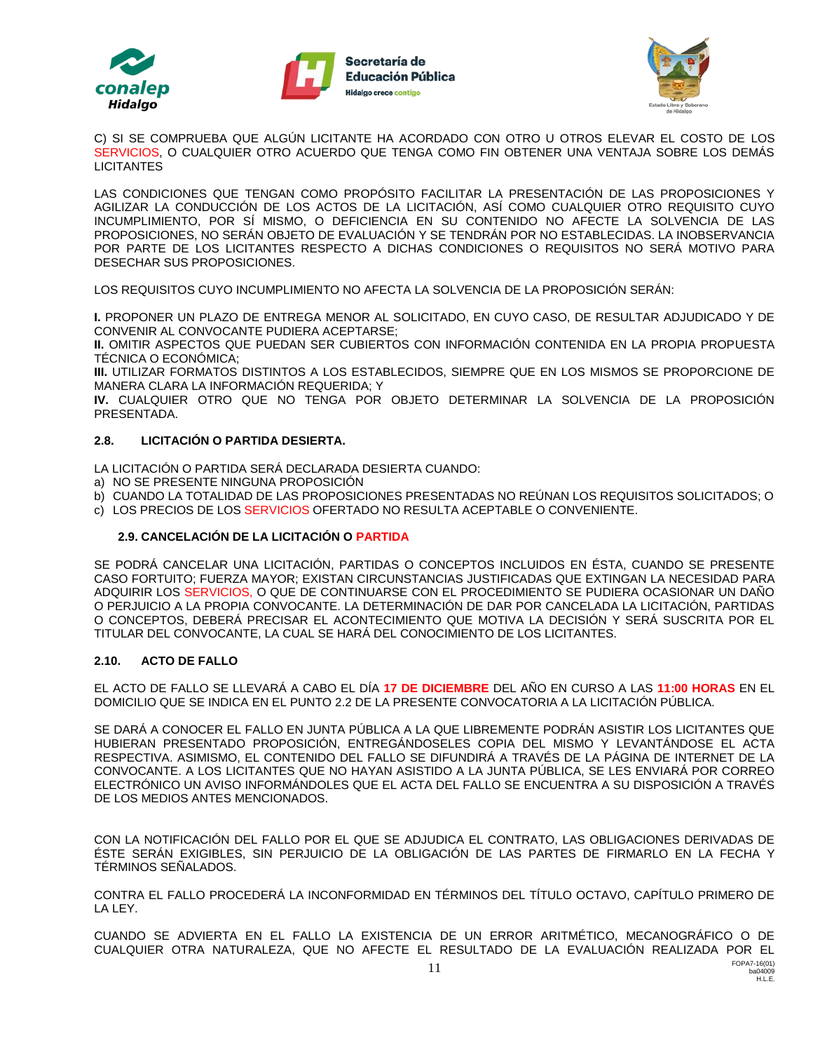





C) SI SE COMPRUEBA QUE ALGÚN LICITANTE HA ACORDADO CON OTRO U OTROS ELEVAR EL COSTO DE LOS SERVICIOS, O CUALQUIER OTRO ACUERDO QUE TENGA COMO FIN OBTENER UNA VENTAJA SOBRE LOS DEMÁS **LICITANTES** 

LAS CONDICIONES QUE TENGAN COMO PROPÓSITO FACILITAR LA PRESENTACIÓN DE LAS PROPOSICIONES Y AGILIZAR LA CONDUCCIÓN DE LOS ACTOS DE LA LICITACIÓN, ASÍ COMO CUALQUIER OTRO REQUISITO CUYO INCUMPLIMIENTO, POR SÍ MISMO, O DEFICIENCIA EN SU CONTENIDO NO AFECTE LA SOLVENCIA DE LAS PROPOSICIONES, NO SERÁN OBJETO DE EVALUACIÓN Y SE TENDRÁN POR NO ESTABLECIDAS. LA INOBSERVANCIA POR PARTE DE LOS LICITANTES RESPECTO A DICHAS CONDICIONES O REQUISITOS NO SERÁ MOTIVO PARA DESECHAR SUS PROPOSICIONES.

LOS REQUISITOS CUYO INCUMPLIMIENTO NO AFECTA LA SOLVENCIA DE LA PROPOSICIÓN SERÁN:

**I.** PROPONER UN PLAZO DE ENTREGA MENOR AL SOLICITADO, EN CUYO CASO, DE RESULTAR ADJUDICADO Y DE CONVENIR AL CONVOCANTE PUDIERA ACEPTARSE;

**II.** OMITIR ASPECTOS QUE PUEDAN SER CUBIERTOS CON INFORMACIÓN CONTENIDA EN LA PROPIA PROPUESTA TÉCNICA O ECONÓMICA;

**III.** UTILIZAR FORMATOS DISTINTOS A LOS ESTABLECIDOS, SIEMPRE QUE EN LOS MISMOS SE PROPORCIONE DE MANERA CLARA LA INFORMACIÓN REQUERIDA; Y

**IV.** CUALQUIER OTRO QUE NO TENGA POR OBJETO DETERMINAR LA SOLVENCIA DE LA PROPOSICIÓN PRESENTADA.

#### **2.8. LICITACIÓN O PARTIDA DESIERTA.**

LA LICITACIÓN O PARTIDA SERÁ DECLARADA DESIERTA CUANDO:

- a) NO SE PRESENTE NINGUNA PROPOSICIÓN
- b) CUANDO LA TOTALIDAD DE LAS PROPOSICIONES PRESENTADAS NO REÚNAN LOS REQUISITOS SOLICITADOS; O
- c) LOS PRECIOS DE LOS SERVICIOS OFERTADO NO RESULTA ACEPTABLE O CONVENIENTE.

### **2.9. CANCELACIÓN DE LA LICITACIÓN O PARTIDA**

SE PODRÁ CANCELAR UNA LICITACIÓN, PARTIDAS O CONCEPTOS INCLUIDOS EN ÉSTA, CUANDO SE PRESENTE CASO FORTUITO; FUERZA MAYOR; EXISTAN CIRCUNSTANCIAS JUSTIFICADAS QUE EXTINGAN LA NECESIDAD PARA ADQUIRIR LOS SERVICIOS, O QUE DE CONTINUARSE CON EL PROCEDIMIENTO SE PUDIERA OCASIONAR UN DAÑO O PERJUICIO A LA PROPIA CONVOCANTE. LA DETERMINACIÓN DE DAR POR CANCELADA LA LICITACIÓN, PARTIDAS O CONCEPTOS, DEBERÁ PRECISAR EL ACONTECIMIENTO QUE MOTIVA LA DECISIÓN Y SERÁ SUSCRITA POR EL TITULAR DEL CONVOCANTE, LA CUAL SE HARÁ DEL CONOCIMIENTO DE LOS LICITANTES.

### **2.10. ACTO DE FALLO**

EL ACTO DE FALLO SE LLEVARÁ A CABO EL DÍA **17 DE DICIEMBRE** DEL AÑO EN CURSO A LAS **11:00 HORAS** EN EL DOMICILIO QUE SE INDICA EN EL PUNTO 2.2 DE LA PRESENTE CONVOCATORIA A LA LICITACIÓN PÚBLICA.

SE DARÁ A CONOCER EL FALLO EN JUNTA PÚBLICA A LA QUE LIBREMENTE PODRÁN ASISTIR LOS LICITANTES QUE HUBIERAN PRESENTADO PROPOSICIÓN, ENTREGÁNDOSELES COPIA DEL MISMO Y LEVANTÁNDOSE EL ACTA RESPECTIVA. ASIMISMO, EL CONTENIDO DEL FALLO SE DIFUNDIRÁ A TRAVÉS DE LA PÁGINA DE INTERNET DE LA CONVOCANTE. A LOS LICITANTES QUE NO HAYAN ASISTIDO A LA JUNTA PÚBLICA, SE LES ENVIARÁ POR CORREO ELECTRÓNICO UN AVISO INFORMÁNDOLES QUE EL ACTA DEL FALLO SE ENCUENTRA A SU DISPOSICIÓN A TRAVÉS DE LOS MEDIOS ANTES MENCIONADOS.

CON LA NOTIFICACIÓN DEL FALLO POR EL QUE SE ADJUDICA EL CONTRATO, LAS OBLIGACIONES DERIVADAS DE ÉSTE SERÁN EXIGIBLES, SIN PERJUICIO DE LA OBLIGACIÓN DE LAS PARTES DE FIRMARLO EN LA FECHA Y TÉRMINOS SEÑALADOS.

CONTRA EL FALLO PROCEDERÁ LA INCONFORMIDAD EN TÉRMINOS DEL TÍTULO OCTAVO, CAPÍTULO PRIMERO DE LA LEY.

CUANDO SE ADVIERTA EN EL FALLO LA EXISTENCIA DE UN ERROR ARITMÉTICO, MECANOGRÁFICO O DE CUALQUIER OTRA NATURALEZA, QUE NO AFECTE EL RESULTADO DE LA EVALUACIÓN REALIZADA POR EL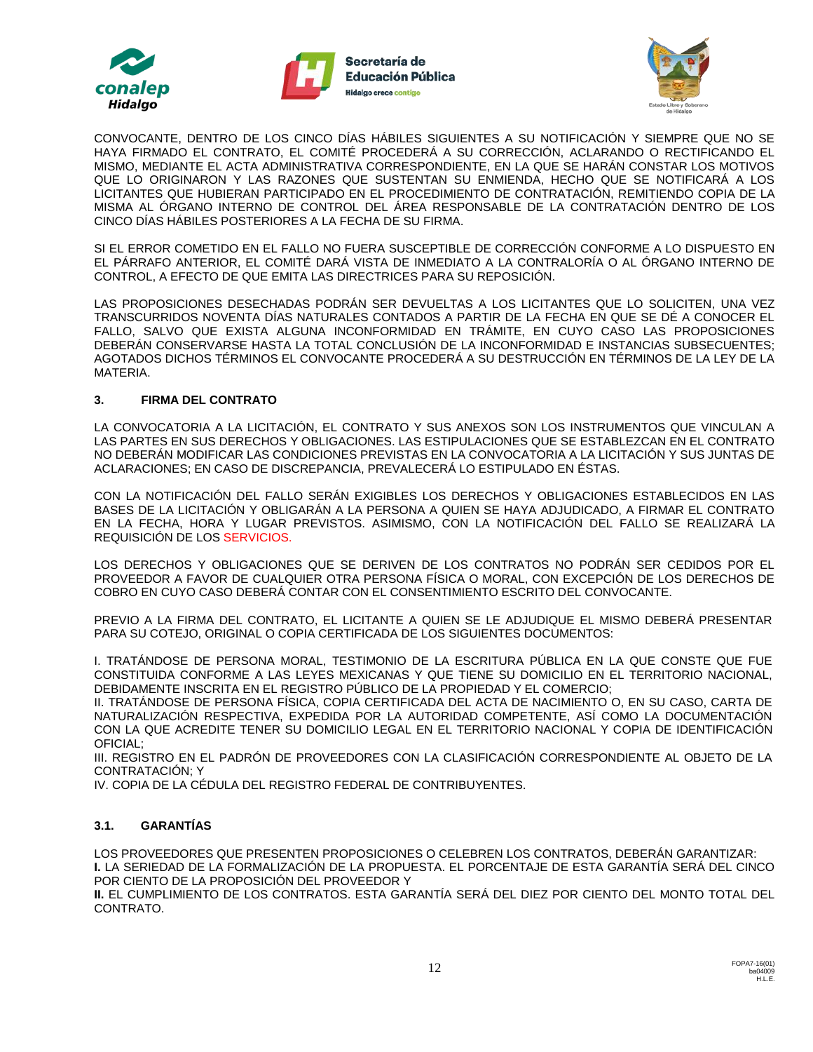





CONVOCANTE, DENTRO DE LOS CINCO DÍAS HÁBILES SIGUIENTES A SU NOTIFICACIÓN Y SIEMPRE QUE NO SE HAYA FIRMADO EL CONTRATO, EL COMITÉ PROCEDERÁ A SU CORRECCIÓN, ACLARANDO O RECTIFICANDO EL MISMO, MEDIANTE EL ACTA ADMINISTRATIVA CORRESPONDIENTE, EN LA QUE SE HARÁN CONSTAR LOS MOTIVOS QUE LO ORIGINARON Y LAS RAZONES QUE SUSTENTAN SU ENMIENDA, HECHO QUE SE NOTIFICARÁ A LOS LICITANTES QUE HUBIERAN PARTICIPADO EN EL PROCEDIMIENTO DE CONTRATACIÓN, REMITIENDO COPIA DE LA MISMA AL ÓRGANO INTERNO DE CONTROL DEL ÁREA RESPONSABLE DE LA CONTRATACIÓN DENTRO DE LOS CINCO DÍAS HÁBILES POSTERIORES A LA FECHA DE SU FIRMA.

SI EL ERROR COMETIDO EN EL FALLO NO FUERA SUSCEPTIBLE DE CORRECCIÓN CONFORME A LO DISPUESTO EN EL PÁRRAFO ANTERIOR, EL COMITÉ DARÁ VISTA DE INMEDIATO A LA CONTRALORÍA O AL ÓRGANO INTERNO DE CONTROL, A EFECTO DE QUE EMITA LAS DIRECTRICES PARA SU REPOSICIÓN.

LAS PROPOSICIONES DESECHADAS PODRÁN SER DEVUELTAS A LOS LICITANTES QUE LO SOLICITEN, UNA VEZ TRANSCURRIDOS NOVENTA DÍAS NATURALES CONTADOS A PARTIR DE LA FECHA EN QUE SE DÉ A CONOCER EL FALLO, SALVO QUE EXISTA ALGUNA INCONFORMIDAD EN TRÁMITE, EN CUYO CASO LAS PROPOSICIONES DEBERÁN CONSERVARSE HASTA LA TOTAL CONCLUSIÓN DE LA INCONFORMIDAD E INSTANCIAS SUBSECUENTES; AGOTADOS DICHOS TÉRMINOS EL CONVOCANTE PROCEDERÁ A SU DESTRUCCIÓN EN TÉRMINOS DE LA LEY DE LA MATERIA.

#### **3. FIRMA DEL CONTRATO**

LA CONVOCATORIA A LA LICITACIÓN, EL CONTRATO Y SUS ANEXOS SON LOS INSTRUMENTOS QUE VINCULAN A LAS PARTES EN SUS DERECHOS Y OBLIGACIONES. LAS ESTIPULACIONES QUE SE ESTABLEZCAN EN EL CONTRATO NO DEBERÁN MODIFICAR LAS CONDICIONES PREVISTAS EN LA CONVOCATORIA A LA LICITACIÓN Y SUS JUNTAS DE ACLARACIONES; EN CASO DE DISCREPANCIA, PREVALECERÁ LO ESTIPULADO EN ÉSTAS.

CON LA NOTIFICACIÓN DEL FALLO SERÁN EXIGIBLES LOS DERECHOS Y OBLIGACIONES ESTABLECIDOS EN LAS BASES DE LA LICITACIÓN Y OBLIGARÁN A LA PERSONA A QUIEN SE HAYA ADJUDICADO, A FIRMAR EL CONTRATO EN LA FECHA, HORA Y LUGAR PREVISTOS. ASIMISMO, CON LA NOTIFICACIÓN DEL FALLO SE REALIZARÁ LA REQUISICIÓN DE LOS SERVICIOS.

LOS DERECHOS Y OBLIGACIONES QUE SE DERIVEN DE LOS CONTRATOS NO PODRÁN SER CEDIDOS POR EL PROVEEDOR A FAVOR DE CUALQUIER OTRA PERSONA FÍSICA O MORAL, CON EXCEPCIÓN DE LOS DERECHOS DE COBRO EN CUYO CASO DEBERÁ CONTAR CON EL CONSENTIMIENTO ESCRITO DEL CONVOCANTE.

PREVIO A LA FIRMA DEL CONTRATO, EL LICITANTE A QUIEN SE LE ADJUDIQUE EL MISMO DEBERÁ PRESENTAR PARA SU COTEJO, ORIGINAL O COPIA CERTIFICADA DE LOS SIGUIENTES DOCUMENTOS:

I. TRATÁNDOSE DE PERSONA MORAL, TESTIMONIO DE LA ESCRITURA PÚBLICA EN LA QUE CONSTE QUE FUE CONSTITUIDA CONFORME A LAS LEYES MEXICANAS Y QUE TIENE SU DOMICILIO EN EL TERRITORIO NACIONAL, DEBIDAMENTE INSCRITA EN EL REGISTRO PÚBLICO DE LA PROPIEDAD Y EL COMERCIO;

II. TRATÁNDOSE DE PERSONA FÍSICA, COPIA CERTIFICADA DEL ACTA DE NACIMIENTO O, EN SU CASO, CARTA DE NATURALIZACIÓN RESPECTIVA, EXPEDIDA POR LA AUTORIDAD COMPETENTE, ASÍ COMO LA DOCUMENTACIÓN CON LA QUE ACREDITE TENER SU DOMICILIO LEGAL EN EL TERRITORIO NACIONAL Y COPIA DE IDENTIFICACIÓN OFICIAL;

III. REGISTRO EN EL PADRÓN DE PROVEEDORES CON LA CLASIFICACIÓN CORRESPONDIENTE AL OBJETO DE LA CONTRATACIÓN; Y

IV. COPIA DE LA CÉDULA DEL REGISTRO FEDERAL DE CONTRIBUYENTES.

### **3.1. GARANTÍAS**

LOS PROVEEDORES QUE PRESENTEN PROPOSICIONES O CELEBREN LOS CONTRATOS, DEBERÁN GARANTIZAR: **I.** LA SERIEDAD DE LA FORMALIZACIÓN DE LA PROPUESTA. EL PORCENTAJE DE ESTA GARANTÍA SERÁ DEL CINCO POR CIENTO DE LA PROPOSICIÓN DEL PROVEEDOR Y

**II.** EL CUMPLIMIENTO DE LOS CONTRATOS. ESTA GARANTÍA SERÁ DEL DIEZ POR CIENTO DEL MONTO TOTAL DEL CONTRATO.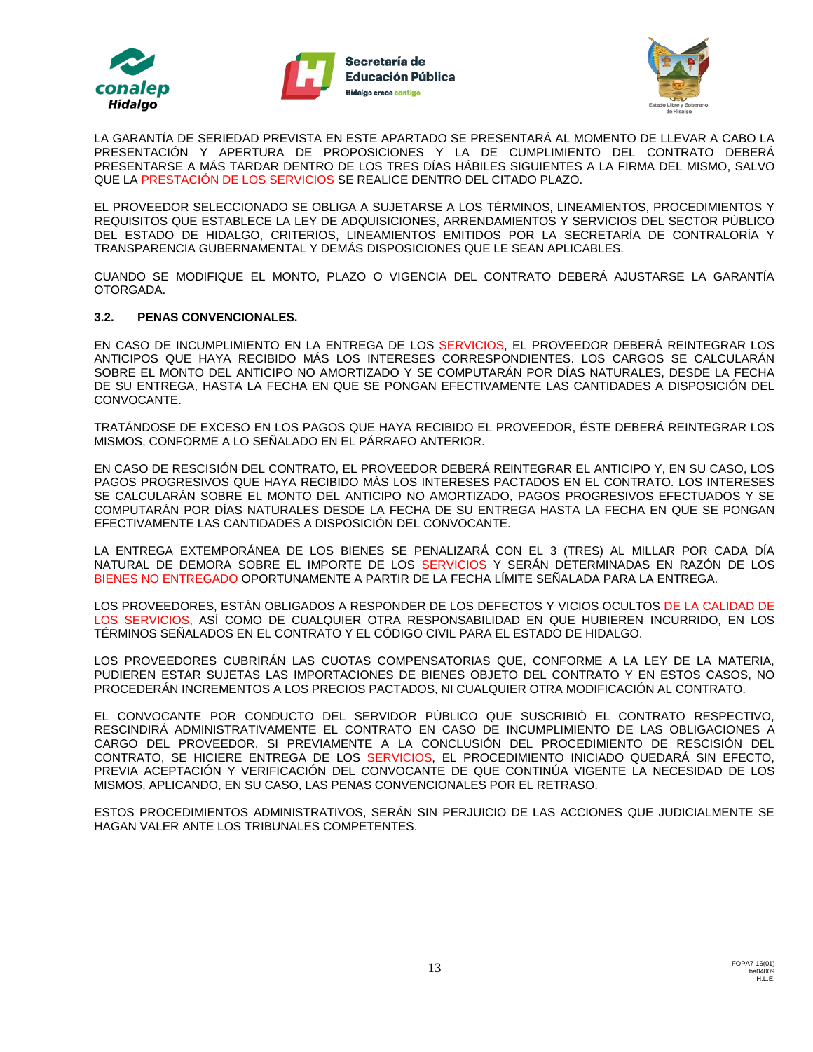





LA GARANTÍA DE SERIEDAD PREVISTA EN ESTE APARTADO SE PRESENTARÁ AL MOMENTO DE LLEVAR A CABO LA PRESENTACIÓN Y APERTURA DE PROPOSICIONES Y LA DE CUMPLIMIENTO DEL CONTRATO DEBERÁ PRESENTARSE A MÁS TARDAR DENTRO DE LOS TRES DÍAS HÁBILES SIGUIENTES A LA FIRMA DEL MISMO, SALVO QUE LA PRESTACIÓN DE LOS SERVICIOS SE REALICE DENTRO DEL CITADO PLAZO.

EL PROVEEDOR SELECCIONADO SE OBLIGA A SUJETARSE A LOS TÉRMINOS, LINEAMIENTOS, PROCEDIMIENTOS Y REQUISITOS QUE ESTABLECE LA LEY DE ADQUISICIONES, ARRENDAMIENTOS Y SERVICIOS DEL SECTOR PÙBLICO DEL ESTADO DE HIDALGO, CRITERIOS, LINEAMIENTOS EMITIDOS POR LA SECRETARÍA DE CONTRALORÍA Y TRANSPARENCIA GUBERNAMENTAL Y DEMÁS DISPOSICIONES QUE LE SEAN APLICABLES.

CUANDO SE MODIFIQUE EL MONTO, PLAZO O VIGENCIA DEL CONTRATO DEBERÁ AJUSTARSE LA GARANTÍA OTORGADA.

#### **3.2. PENAS CONVENCIONALES.**

EN CASO DE INCUMPLIMIENTO EN LA ENTREGA DE LOS SERVICIOS, EL PROVEEDOR DEBERÁ REINTEGRAR LOS ANTICIPOS QUE HAYA RECIBIDO MÁS LOS INTERESES CORRESPONDIENTES. LOS CARGOS SE CALCULARÁN SOBRE EL MONTO DEL ANTICIPO NO AMORTIZADO Y SE COMPUTARÁN POR DÍAS NATURALES, DESDE LA FECHA DE SU ENTREGA, HASTA LA FECHA EN QUE SE PONGAN EFECTIVAMENTE LAS CANTIDADES A DISPOSICIÓN DEL CONVOCANTE.

TRATÁNDOSE DE EXCESO EN LOS PAGOS QUE HAYA RECIBIDO EL PROVEEDOR, ÉSTE DEBERÁ REINTEGRAR LOS MISMOS, CONFORME A LO SEÑALADO EN EL PÁRRAFO ANTERIOR.

EN CASO DE RESCISIÓN DEL CONTRATO, EL PROVEEDOR DEBERÁ REINTEGRAR EL ANTICIPO Y, EN SU CASO, LOS PAGOS PROGRESIVOS QUE HAYA RECIBIDO MÁS LOS INTERESES PACTADOS EN EL CONTRATO. LOS INTERESES SE CALCULARÁN SOBRE EL MONTO DEL ANTICIPO NO AMORTIZADO, PAGOS PROGRESIVOS EFECTUADOS Y SE COMPUTARÁN POR DÍAS NATURALES DESDE LA FECHA DE SU ENTREGA HASTA LA FECHA EN QUE SE PONGAN EFECTIVAMENTE LAS CANTIDADES A DISPOSICIÓN DEL CONVOCANTE.

LA ENTREGA EXTEMPORÁNEA DE LOS BIENES SE PENALIZARÁ CON EL 3 (TRES) AL MILLAR POR CADA DÍA NATURAL DE DEMORA SOBRE EL IMPORTE DE LOS SERVICIOS Y SERÁN DETERMINADAS EN RAZÓN DE LOS BIENES NO ENTREGADO OPORTUNAMENTE A PARTIR DE LA FECHA LÍMITE SEÑALADA PARA LA ENTREGA.

LOS PROVEEDORES, ESTÁN OBLIGADOS A RESPONDER DE LOS DEFECTOS Y VICIOS OCULTOS DE LA CALIDAD DE LOS SERVICIOS, ASÍ COMO DE CUALQUIER OTRA RESPONSABILIDAD EN QUE HUBIEREN INCURRIDO, EN LOS TÉRMINOS SEÑALADOS EN EL CONTRATO Y EL CÓDIGO CIVIL PARA EL ESTADO DE HIDALGO.

LOS PROVEEDORES CUBRIRÁN LAS CUOTAS COMPENSATORIAS QUE, CONFORME A LA LEY DE LA MATERIA, PUDIEREN ESTAR SUJETAS LAS IMPORTACIONES DE BIENES OBJETO DEL CONTRATO Y EN ESTOS CASOS, NO PROCEDERÁN INCREMENTOS A LOS PRECIOS PACTADOS, NI CUALQUIER OTRA MODIFICACIÓN AL CONTRATO.

EL CONVOCANTE POR CONDUCTO DEL SERVIDOR PÚBLICO QUE SUSCRIBIÓ EL CONTRATO RESPECTIVO, RESCINDIRÁ ADMINISTRATIVAMENTE EL CONTRATO EN CASO DE INCUMPLIMIENTO DE LAS OBLIGACIONES A CARGO DEL PROVEEDOR. SI PREVIAMENTE A LA CONCLUSIÓN DEL PROCEDIMIENTO DE RESCISIÓN DEL CONTRATO, SE HICIERE ENTREGA DE LOS SERVICIOS, EL PROCEDIMIENTO INICIADO QUEDARÁ SIN EFECTO, PREVIA ACEPTACIÓN Y VERIFICACIÓN DEL CONVOCANTE DE QUE CONTINÚA VIGENTE LA NECESIDAD DE LOS MISMOS, APLICANDO, EN SU CASO, LAS PENAS CONVENCIONALES POR EL RETRASO.

ESTOS PROCEDIMIENTOS ADMINISTRATIVOS, SERÁN SIN PERJUICIO DE LAS ACCIONES QUE JUDICIALMENTE SE HAGAN VALER ANTE LOS TRIBUNALES COMPETENTES.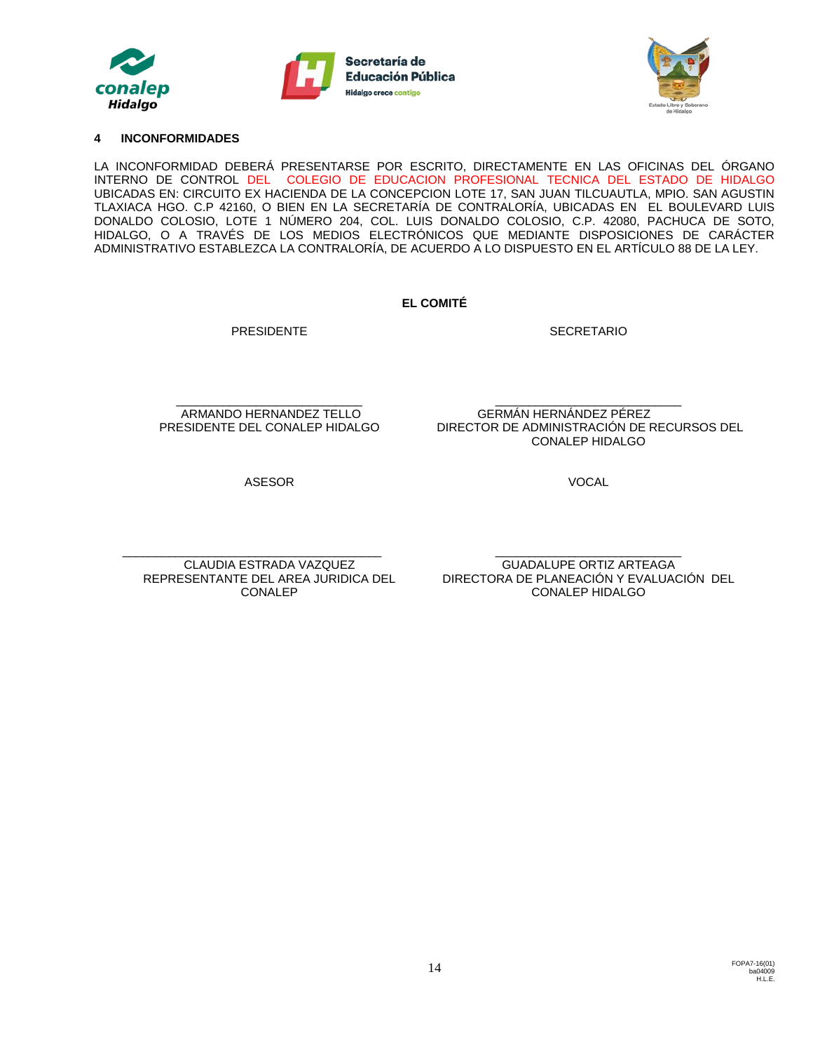





#### **4 INCONFORMIDADES**

LA INCONFORMIDAD DEBERÁ PRESENTARSE POR ESCRITO, DIRECTAMENTE EN LAS OFICINAS DEL ÓRGANO INTERNO DE CONTROL DEL COLEGIO DE EDUCACION PROFESIONAL TECNICA DEL ESTADO DE HIDALGO UBICADAS EN: CIRCUITO EX HACIENDA DE LA CONCEPCION LOTE 17, SAN JUAN TILCUAUTLA, MPIO. SAN AGUSTIN TLAXIACA HGO. C.P 42160, O BIEN EN LA SECRETARÍA DE CONTRALORÍA, UBICADAS EN EL BOULEVARD LUIS DONALDO COLOSIO, LOTE 1 NÚMERO 204, COL. LUIS DONALDO COLOSIO, C.P. 42080, PACHUCA DE SOTO, HIDALGO, O A TRAVÉS DE LOS MEDIOS ELECTRÓNICOS QUE MEDIANTE DISPOSICIONES DE CARÁCTER ADMINISTRATIVO ESTABLEZCA LA CONTRALORÍA, DE ACUERDO A LO DISPUESTO EN EL ARTÍCULO 88 DE LA LEY.

**EL COMITÉ**

PRESIDENTE

SECRETARIO

\_\_\_\_\_\_\_\_\_\_\_\_\_\_\_\_\_\_\_\_\_\_\_\_\_\_\_\_ ARMANDO HERNANDEZ TELLO PRESIDENTE DEL CONALEP HIDALGO

\_\_\_\_\_\_\_\_\_\_\_\_\_\_\_\_\_\_\_\_\_\_\_\_\_\_\_\_ GERMÁN HERNÁNDEZ PÉREZ DIRECTOR DE ADMINISTRACIÓN DE RECURSOS DEL CONALEP HIDALGO

ASESOR

VOCAL

\_\_\_\_\_\_\_\_\_\_\_\_\_\_\_\_\_\_\_\_\_\_\_\_\_\_\_\_\_\_\_\_\_\_\_\_\_\_\_ CLAUDIA ESTRADA VAZQUEZ REPRESENTANTE DEL AREA JURIDICA DEL CONALEP

\_\_\_\_\_\_\_\_\_\_\_\_\_\_\_\_\_\_\_\_\_\_\_\_\_\_\_\_ GUADALUPE ORTIZ ARTEAGA DIRECTORA DE PLANEACIÓN Y EVALUACIÓN DEL CONALEP HIDALGO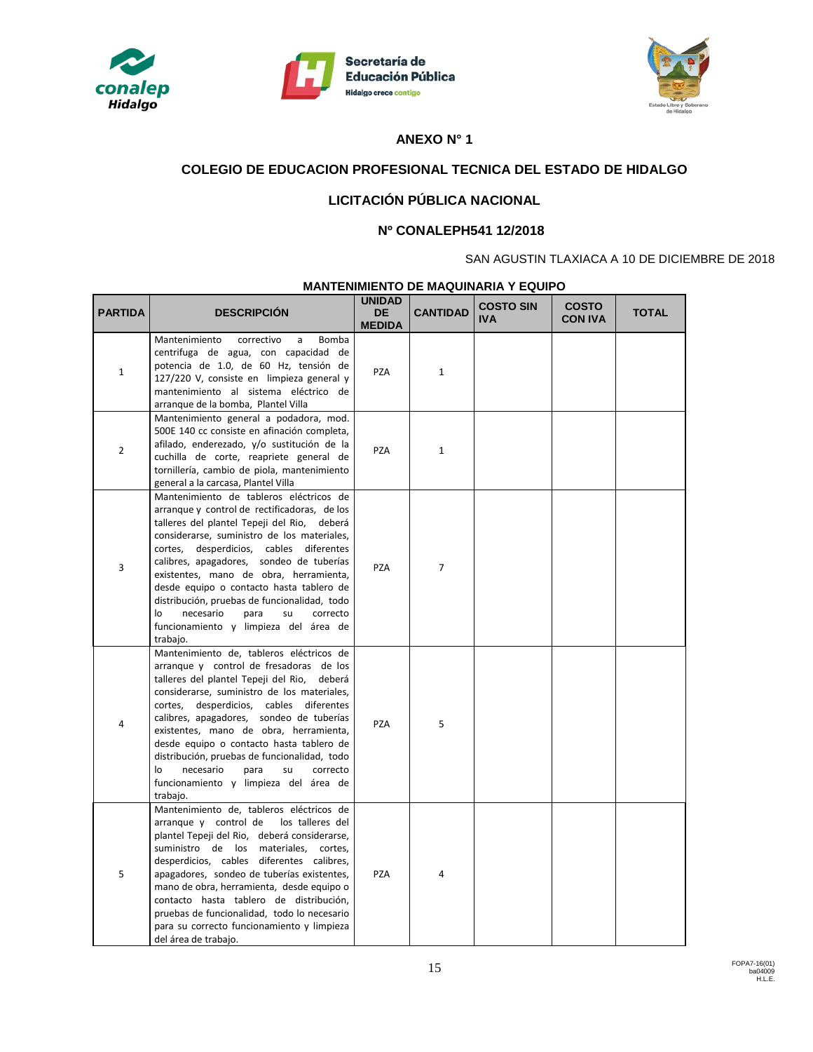





# **ANEXO N° 1**

# **COLEGIO DE EDUCACION PROFESIONAL TECNICA DEL ESTADO DE HIDALGO**

# **LICITACIÓN PÚBLICA NACIONAL**

## **Nº CONALEPH541 12/2018**

### SAN AGUSTIN TLAXIACA A 10 DE DICIEMBRE DE 2018

## **MANTENIMIENTO DE MAQUINARIA Y EQUIPO**

| <b>PARTIDA</b> | <b>DESCRIPCIÓN</b>                                                                                                                                                                                                                                                                                                                                                                                                                                                                                                   | <b>UNIDAD</b><br><b>DE</b><br><b>MEDIDA</b> | <b>CANTIDAD</b> | <b>COSTO SIN</b><br>IVA. | <b>COSTO</b><br><b>CON IVA</b> | <b>TOTAL</b> |
|----------------|----------------------------------------------------------------------------------------------------------------------------------------------------------------------------------------------------------------------------------------------------------------------------------------------------------------------------------------------------------------------------------------------------------------------------------------------------------------------------------------------------------------------|---------------------------------------------|-----------------|--------------------------|--------------------------------|--------------|
| $\mathbf 1$    | Mantenimiento<br>correctivo<br>a<br><b>Bomba</b><br>centrifuga de agua, con capacidad de<br>potencia de 1.0, de 60 Hz, tensión de<br>127/220 V, consiste en limpieza general y<br>mantenimiento al sistema eléctrico de<br>arrangue de la bomba, Plantel Villa                                                                                                                                                                                                                                                       | PZA                                         | $\mathbf{1}$    |                          |                                |              |
| $\overline{2}$ | Mantenimiento general a podadora, mod.<br>500E 140 cc consiste en afinación completa,<br>afilado, enderezado, y/o sustitución de la<br>cuchilla de corte, reapriete general de<br>tornillería, cambio de piola, mantenimiento<br>general a la carcasa, Plantel Villa                                                                                                                                                                                                                                                 | PZA                                         | $\mathbf{1}$    |                          |                                |              |
| 3              | Mantenimiento de tableros eléctricos de<br>arrangue y control de rectificadoras, de los<br>talleres del plantel Tepeji del Rio, deberá<br>considerarse, suministro de los materiales,<br>cortes, desperdicios, cables diferentes<br>calibres, apagadores, sondeo de tuberías<br>existentes, mano de obra, herramienta,<br>desde equipo o contacto hasta tablero de<br>distribución, pruebas de funcionalidad, todo<br>necesario<br>correcto<br>lo<br>para<br>su<br>funcionamiento y limpieza del área de<br>trabajo. | <b>PZA</b>                                  | $\overline{7}$  |                          |                                |              |
| $\overline{4}$ | Mantenimiento de, tableros eléctricos de<br>arrangue y control de fresadoras de los<br>talleres del plantel Tepeji del Rio,<br>deberá<br>considerarse, suministro de los materiales,<br>cortes, desperdicios, cables diferentes<br>calibres, apagadores, sondeo de tuberías<br>existentes, mano de obra, herramienta,<br>desde equipo o contacto hasta tablero de<br>distribución, pruebas de funcionalidad, todo<br>necesario<br>correcto<br>lo<br>para<br>su<br>funcionamiento y limpieza del área de<br>trabajo.  | <b>PZA</b>                                  | 5               |                          |                                |              |
| 5              | Mantenimiento de, tableros eléctricos de<br>arranque y control de<br>los talleres del<br>plantel Tepeji del Rio, deberá considerarse,<br>suministro de los materiales,<br>cortes.<br>desperdicios, cables diferentes calibres,<br>apagadores, sondeo de tuberías existentes,<br>mano de obra, herramienta, desde equipo o<br>contacto hasta tablero de distribución,<br>pruebas de funcionalidad, todo lo necesario<br>para su correcto funcionamiento y limpieza<br>del área de trabajo.                            | PZA                                         | 4               |                          |                                |              |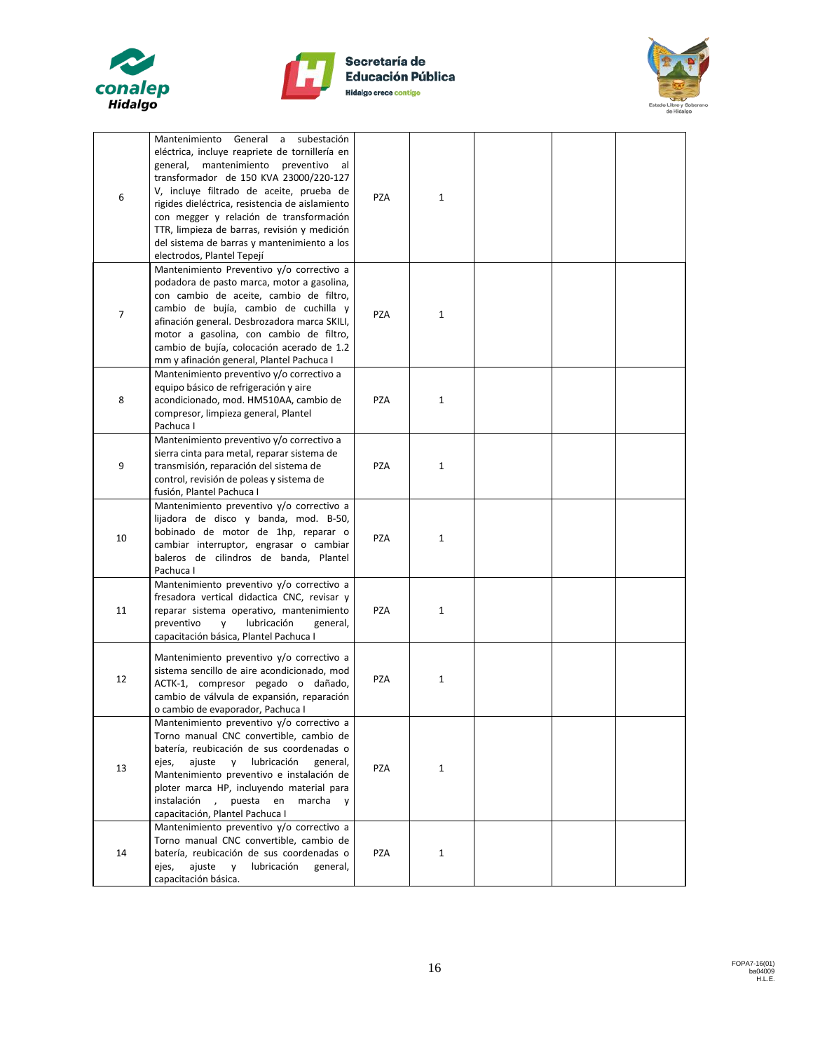





| 6              | Mantenimiento General a subestación<br>eléctrica, incluye reapriete de tornillería en<br>general,<br>mantenimiento preventivo<br>al<br>transformador de 150 KVA 23000/220-127<br>V, incluye filtrado de aceite, prueba de<br>rigides dieléctrica, resistencia de aislamiento<br>con megger y relación de transformación<br>TTR, limpieza de barras, revisión y medición<br>del sistema de barras y mantenimiento a los<br>electrodos, Plantel Tepejí | <b>PZA</b> | $\mathbf{1}$ |  |  |
|----------------|------------------------------------------------------------------------------------------------------------------------------------------------------------------------------------------------------------------------------------------------------------------------------------------------------------------------------------------------------------------------------------------------------------------------------------------------------|------------|--------------|--|--|
| $\overline{7}$ | Mantenimiento Preventivo y/o correctivo a<br>podadora de pasto marca, motor a gasolina,<br>con cambio de aceite, cambio de filtro,<br>cambio de bujía, cambio de cuchilla y<br>afinación general. Desbrozadora marca SKILI,<br>motor a gasolina, con cambio de filtro,<br>cambio de bujía, colocación acerado de 1.2<br>mm y afinación general, Plantel Pachuca I                                                                                    | <b>PZA</b> | $\mathbf{1}$ |  |  |
| 8              | Mantenimiento preventivo y/o correctivo a<br>equipo básico de refrigeración y aire<br>acondicionado, mod. HM510AA, cambio de<br>compresor, limpieza general, Plantel<br>Pachuca I                                                                                                                                                                                                                                                                    | <b>PZA</b> | $\mathbf{1}$ |  |  |
| 9              | Mantenimiento preventivo y/o correctivo a<br>sierra cinta para metal, reparar sistema de<br>transmisión, reparación del sistema de<br>control, revisión de poleas y sistema de<br>fusión, Plantel Pachuca I                                                                                                                                                                                                                                          | <b>PZA</b> | $\mathbf{1}$ |  |  |
| 10             | Mantenimiento preventivo y/o correctivo a<br>lijadora de disco y banda, mod. B-50,<br>bobinado de motor de 1hp, reparar o<br>cambiar interruptor, engrasar o cambiar<br>baleros de cilindros de banda, Plantel<br>Pachuca I                                                                                                                                                                                                                          | <b>PZA</b> | $\mathbf{1}$ |  |  |
| 11             | Mantenimiento preventivo y/o correctivo a<br>fresadora vertical didactica CNC, revisar y<br>reparar sistema operativo, mantenimiento<br>preventivo<br>lubricación<br>y<br>general,<br>capacitación básica, Plantel Pachuca I                                                                                                                                                                                                                         | <b>PZA</b> | $\mathbf{1}$ |  |  |
| 12             | Mantenimiento preventivo y/o correctivo a<br>sistema sencillo de aire acondicionado, mod<br>ACTK-1, compresor pegado o dañado,<br>cambio de válvula de expansión, reparación<br>o cambio de evaporador, Pachuca I                                                                                                                                                                                                                                    | <b>PZA</b> | $\mathbf{1}$ |  |  |
| 13             | Mantenimiento preventivo y/o correctivo a<br>Torno manual CNC convertible, cambio de<br>batería, reubicación de sus coordenadas o<br>ajuste<br>lubricación<br>$\mathsf{v}$<br>general,<br>ejes,<br>Mantenimiento preventivo e instalación de<br>ploter marca HP, incluyendo material para<br>instalación,<br>puesta en<br>marcha<br>V<br>capacitación, Plantel Pachuca I                                                                             | <b>PZA</b> | $\mathbf{1}$ |  |  |
| 14             | Mantenimiento preventivo y/o correctivo a<br>Torno manual CNC convertible, cambio de<br>batería, reubicación de sus coordenadas o<br>ajuste<br>lubricación<br>ejes,<br>$\mathsf{V}$<br>general,<br>capacitación básica.                                                                                                                                                                                                                              | PZA        | $\mathbf{1}$ |  |  |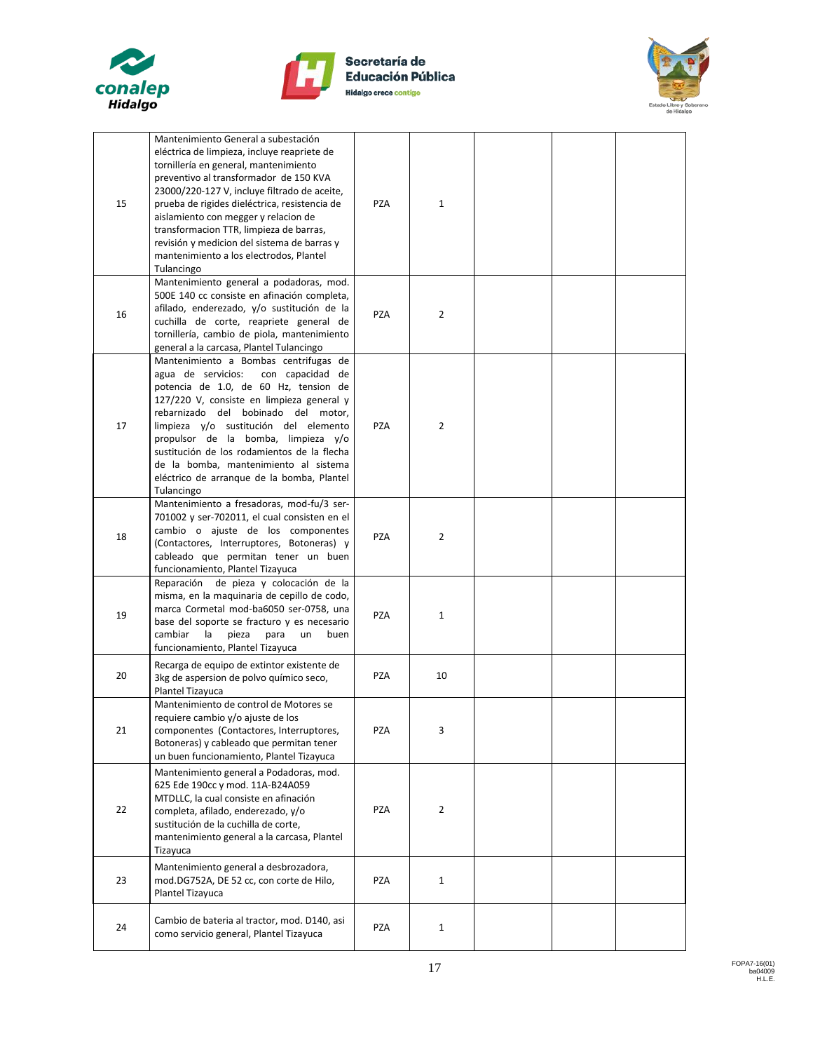





| 15         | Mantenimiento General a subestación<br>eléctrica de limpieza, incluye reapriete de<br>tornillería en general, mantenimiento<br>preventivo al transformador de 150 KVA<br>23000/220-127 V, incluye filtrado de aceite,<br>prueba de rigides dieléctrica, resistencia de<br>aislamiento con megger y relacion de<br>transformacion TTR, limpieza de barras,<br>revisión y medicion del sistema de barras y<br>mantenimiento a los electrodos, Plantel<br>Tulancingo | <b>PZA</b> | $\mathbf{1}$   |  |  |
|------------|-------------------------------------------------------------------------------------------------------------------------------------------------------------------------------------------------------------------------------------------------------------------------------------------------------------------------------------------------------------------------------------------------------------------------------------------------------------------|------------|----------------|--|--|
| 16         | Mantenimiento general a podadoras, mod.<br>500E 140 cc consiste en afinación completa,<br>afilado, enderezado, y/o sustitución de la<br>cuchilla de corte, reapriete general de<br>tornillería, cambio de piola, mantenimiento<br>general a la carcasa, Plantel Tulancingo                                                                                                                                                                                        | <b>PZA</b> | $\overline{2}$ |  |  |
| 17         | Mantenimiento a Bombas centrifugas de<br>agua de servicios:<br>con capacidad de<br>potencia de 1.0, de 60 Hz, tension de<br>127/220 V, consiste en limpieza general y<br>rebarnizado del bobinado del motor,<br>limpieza y/o sustitución del elemento<br>propulsor de la bomba, limpieza y/o<br>sustitución de los rodamientos de la flecha<br>de la bomba, mantenimiento al sistema<br>eléctrico de arranque de la bomba, Plantel<br>Tulancingo                  | <b>PZA</b> | 2              |  |  |
| 18         | Mantenimiento a fresadoras, mod-fu/3 ser-<br>701002 y ser-702011, el cual consisten en el<br>cambio o ajuste de los componentes<br>(Contactores, Interruptores, Botoneras) y<br>cableado que permitan tener un buen<br>funcionamiento, Plantel Tizayuca                                                                                                                                                                                                           | PZA        | 2              |  |  |
| 19         | Reparación de pieza y colocación de la<br>misma, en la maquinaria de cepillo de codo,<br>marca Cormetal mod-ba6050 ser-0758, una<br>base del soporte se fracturo y es necesario<br>cambiar<br>la<br>pieza<br>para<br>un<br>buen<br>funcionamiento, Plantel Tizayuca                                                                                                                                                                                               | <b>PZA</b> | $\mathbf{1}$   |  |  |
| 20         | Recarga de equipo de extintor existente de<br>3kg de aspersion de polvo químico seco,<br>Plantel Tizayuca                                                                                                                                                                                                                                                                                                                                                         | <b>PZA</b> | 10             |  |  |
| ${\bf 21}$ | Mantenimiento de control de Motores se<br>requiere cambio y/o ajuste de los<br>componentes (Contactores, Interruptores,<br>Botoneras) y cableado que permitan tener<br>un buen funcionamiento, Plantel Tizayuca                                                                                                                                                                                                                                                   | PZA        | 3              |  |  |
| 22         | Mantenimiento general a Podadoras, mod.<br>625 Ede 190cc y mod. 11A-B24A059<br>MTDLLC, la cual consiste en afinación<br>completa, afilado, enderezado, y/o<br>sustitución de la cuchilla de corte,<br>mantenimiento general a la carcasa, Plantel<br>Tizayuca                                                                                                                                                                                                     | <b>PZA</b> | 2              |  |  |
| 23         | Mantenimiento general a desbrozadora,<br>mod.DG752A, DE 52 cc, con corte de Hilo,<br>Plantel Tizayuca                                                                                                                                                                                                                                                                                                                                                             | PZA        | $\mathbf{1}$   |  |  |
| 24         | Cambio de bateria al tractor, mod. D140, asi<br>como servicio general, Plantel Tizayuca                                                                                                                                                                                                                                                                                                                                                                           | <b>PZA</b> | 1              |  |  |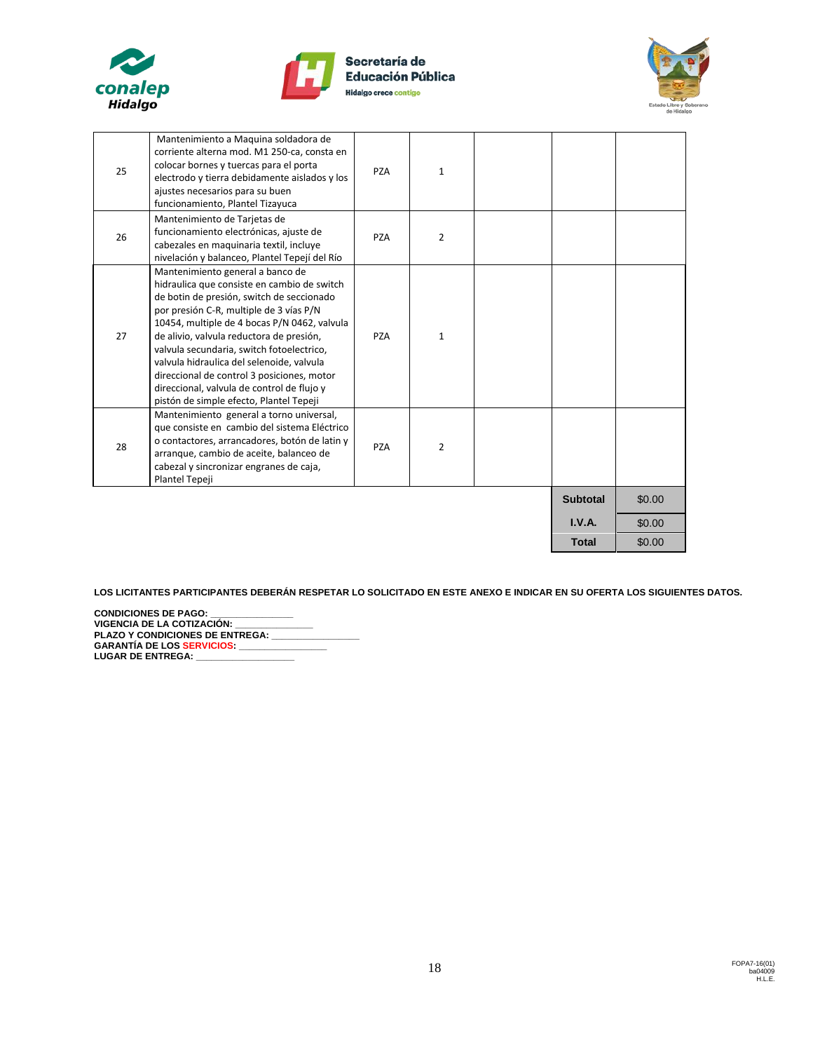





| 25 | Mantenimiento a Maquina soldadora de<br>corriente alterna mod. M1 250-ca, consta en<br>colocar bornes y tuercas para el porta<br>electrodo y tierra debidamente aislados y los<br>ajustes necesarios para su buen<br>funcionamiento, Plantel Tizayuca                                                                                                                                                                                                                                                | <b>PZA</b> | $\mathbf{1}$   |                 |        |
|----|------------------------------------------------------------------------------------------------------------------------------------------------------------------------------------------------------------------------------------------------------------------------------------------------------------------------------------------------------------------------------------------------------------------------------------------------------------------------------------------------------|------------|----------------|-----------------|--------|
| 26 | Mantenimiento de Tarjetas de<br>funcionamiento electrónicas, ajuste de<br>cabezales en maguinaria textil, incluye<br>nivelación y balanceo, Plantel Tepejí del Río                                                                                                                                                                                                                                                                                                                                   | <b>PZA</b> | $\overline{2}$ |                 |        |
| 27 | Mantenimiento general a banco de<br>hidraulica que consiste en cambio de switch<br>de botin de presión, switch de seccionado<br>por presión C-R, multiple de 3 vías P/N<br>10454, multiple de 4 bocas P/N 0462, valvula<br>de alivio, valvula reductora de presión,<br>valvula secundaria, switch fotoelectrico,<br>valvula hidraulica del selenoide, valvula<br>direccional de control 3 posiciones, motor<br>direccional, valvula de control de flujo y<br>pistón de simple efecto, Plantel Tepeji | <b>PZA</b> | 1              |                 |        |
| 28 | Mantenimiento general a torno universal,<br>que consiste en cambio del sistema Eléctrico<br>o contactores, arrancadores, botón de latin y<br>arranque, cambio de aceite, balanceo de<br>cabezal y sincronizar engranes de caja,<br>Plantel Tepeji                                                                                                                                                                                                                                                    | <b>PZA</b> | $\overline{2}$ |                 |        |
|    |                                                                                                                                                                                                                                                                                                                                                                                                                                                                                                      |            |                | <b>Subtotal</b> | \$0.00 |
|    |                                                                                                                                                                                                                                                                                                                                                                                                                                                                                                      |            |                | I.V.A.          | \$0.00 |
|    |                                                                                                                                                                                                                                                                                                                                                                                                                                                                                                      |            |                | <b>Total</b>    | \$0.00 |

**LOS LICITANTES PARTICIPANTES DEBERÁN RESPETAR LO SOLICITADO EN ESTE ANEXO E INDICAR EN SU OFERTA LOS SIGUIENTES DATOS.**

**CONDICIONES DE PAGO: VIGENCIA DE LA COTIZACIÓN: \_\_\_\_\_\_\_\_\_\_\_\_\_\_\_ PLAZO Y CONDICIONES DE ENTREGA: \_\_\_\_\_\_\_\_\_\_\_\_\_\_\_\_\_ GARANTÍA DE LOS SERVICIOS: \_\_\_\_\_\_\_\_\_\_\_\_\_\_\_\_\_** LUGAR DE ENTREGA: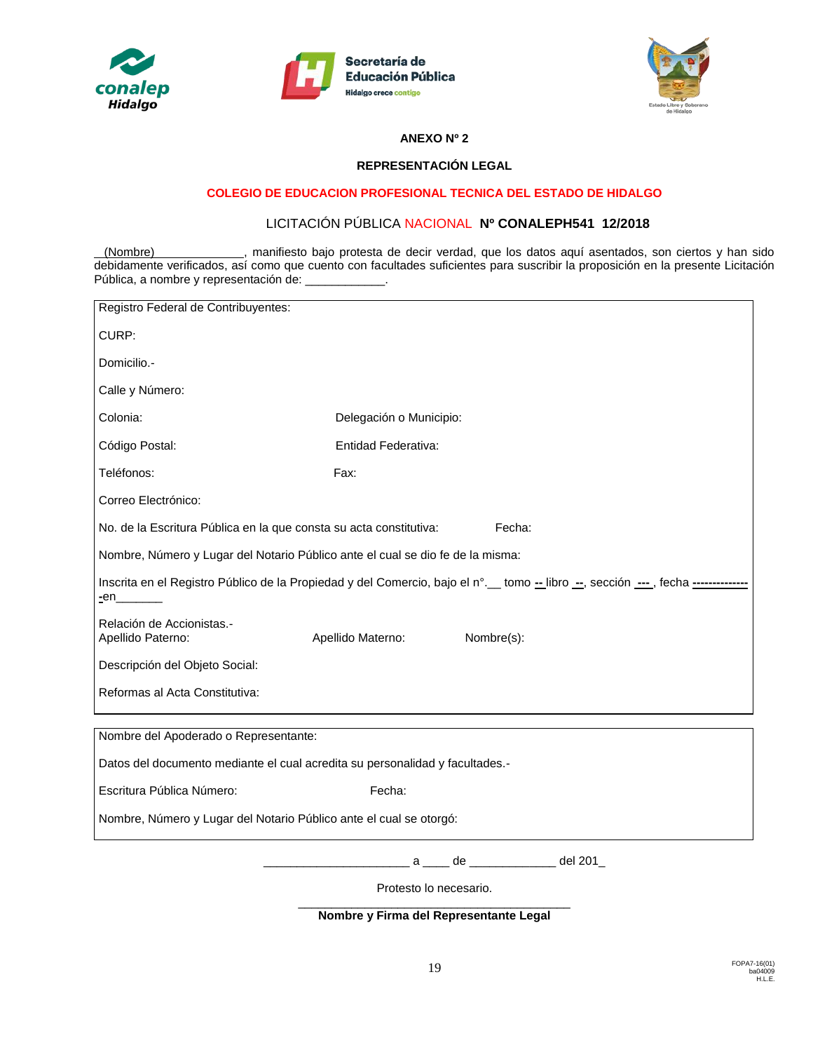





#### **ANEXO Nº 2**

#### **REPRESENTACIÓN LEGAL**

#### **COLEGIO DE EDUCACION PROFESIONAL TECNICA DEL ESTADO DE HIDALGO**

# LICITACIÓN PÚBLICA NACIONAL **Nº CONALEPH541 12/2018**

(Nombre) , manifiesto bajo protesta de decir verdad, que los datos aquí asentados, son ciertos y han sido debidamente verificados, así como que cuento con facultades suficientes para suscribir la proposición en la presente Licitación Pública, a nombre y representación de: \_\_\_\_\_\_\_\_\_\_\_\_\_.

| Registro Federal de Contribuyentes:                                                                                                                       |                         |                 |  |  |  |  |
|-----------------------------------------------------------------------------------------------------------------------------------------------------------|-------------------------|-----------------|--|--|--|--|
| CURP:                                                                                                                                                     |                         |                 |  |  |  |  |
| Domicilio.-                                                                                                                                               |                         |                 |  |  |  |  |
| Calle y Número:                                                                                                                                           |                         |                 |  |  |  |  |
| Colonia:                                                                                                                                                  | Delegación o Municipio: |                 |  |  |  |  |
| Código Postal:                                                                                                                                            | Entidad Federativa:     |                 |  |  |  |  |
| Teléfonos:                                                                                                                                                | Fax:                    |                 |  |  |  |  |
| Correo Electrónico:                                                                                                                                       |                         |                 |  |  |  |  |
| No. de la Escritura Pública en la que consta su acta constitutiva:                                                                                        |                         | Fecha:          |  |  |  |  |
| Nombre, Número y Lugar del Notario Público ante el cual se dio fe de la misma:                                                                            |                         |                 |  |  |  |  |
| Inscrita en el Registro Público de la Propiedad y del Comercio, bajo el n°. etomo - libro --, sección ---, fecha -----------<br>$en$ <sub>_________</sub> |                         |                 |  |  |  |  |
| Relación de Accionistas.-<br>Apellido Paterno:                                                                                                            | Apellido Materno:       | Nombre(s):      |  |  |  |  |
| Descripción del Objeto Social:                                                                                                                            |                         |                 |  |  |  |  |
| Reformas al Acta Constitutiva:                                                                                                                            |                         |                 |  |  |  |  |
| Nombre del Apoderado o Representante:                                                                                                                     |                         |                 |  |  |  |  |
| Datos del documento mediante el cual acredita su personalidad y facultades.-                                                                              |                         |                 |  |  |  |  |
| Escritura Pública Número:<br>Fecha:                                                                                                                       |                         |                 |  |  |  |  |
|                                                                                                                                                           |                         |                 |  |  |  |  |
| Nombre, Número y Lugar del Notario Público ante el cual se otorgó:                                                                                        |                         |                 |  |  |  |  |
|                                                                                                                                                           |                         | a de de del 201 |  |  |  |  |
|                                                                                                                                                           | Protesto lo necesario.  |                 |  |  |  |  |

\_\_\_\_\_\_\_\_\_\_\_\_\_\_\_\_\_\_\_\_\_\_\_\_\_\_\_\_\_\_\_\_\_\_\_\_\_\_\_\_\_ **Nombre y Firma del Representante Legal**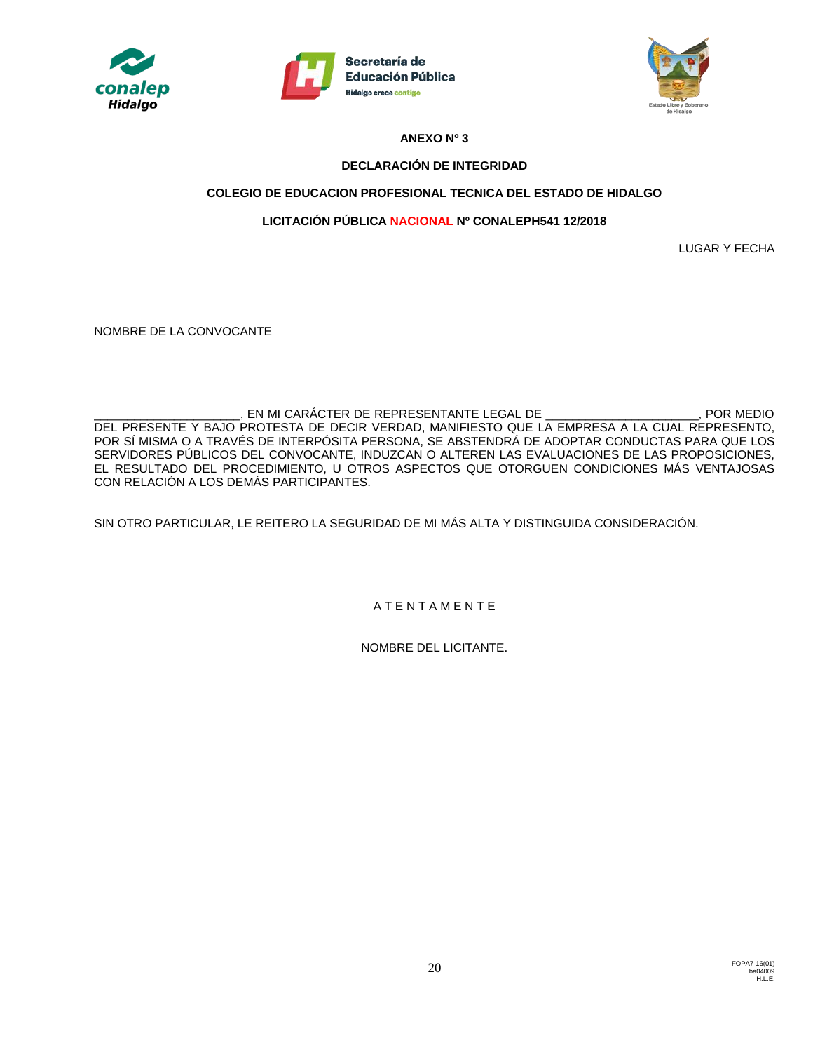





## **ANEXO Nº 3**

# **DECLARACIÓN DE INTEGRIDAD**

# **COLEGIO DE EDUCACION PROFESIONAL TECNICA DEL ESTADO DE HIDALGO**

# **LICITACIÓN PÚBLICA NACIONAL Nº CONALEPH541 12/2018**

LUGAR Y FECHA

NOMBRE DE LA CONVOCANTE

\_\_\_\_\_\_\_\_\_\_\_\_\_\_\_\_\_\_\_\_\_\_\_\_, EN MI CARÁCTER DE REPRESENTANTE LEGAL DE \_\_\_\_\_\_\_\_\_\_\_\_\_\_\_\_\_\_\_\_\_\_\_, POR MEDIO DEL PRESENTE Y BAJO PROTESTA DE DECIR VERDAD, MANIFIESTO QUE LA EMPRESA A LA CUAL REPRESENTO, POR SÍ MISMA O A TRAVÉS DE INTERPÓSITA PERSONA, SE ABSTENDRÁ DE ADOPTAR CONDUCTAS PARA QUE LOS SERVIDORES PÚBLICOS DEL CONVOCANTE, INDUZCAN O ALTEREN LAS EVALUACIONES DE LAS PROPOSICIONES, EL RESULTADO DEL PROCEDIMIENTO, U OTROS ASPECTOS QUE OTORGUEN CONDICIONES MÁS VENTAJOSAS CON RELACIÓN A LOS DEMÁS PARTICIPANTES.

SIN OTRO PARTICULAR, LE REITERO LA SEGURIDAD DE MI MÁS ALTA Y DISTINGUIDA CONSIDERACIÓN.

A T E N T A M E N T E

NOMBRE DEL LICITANTE.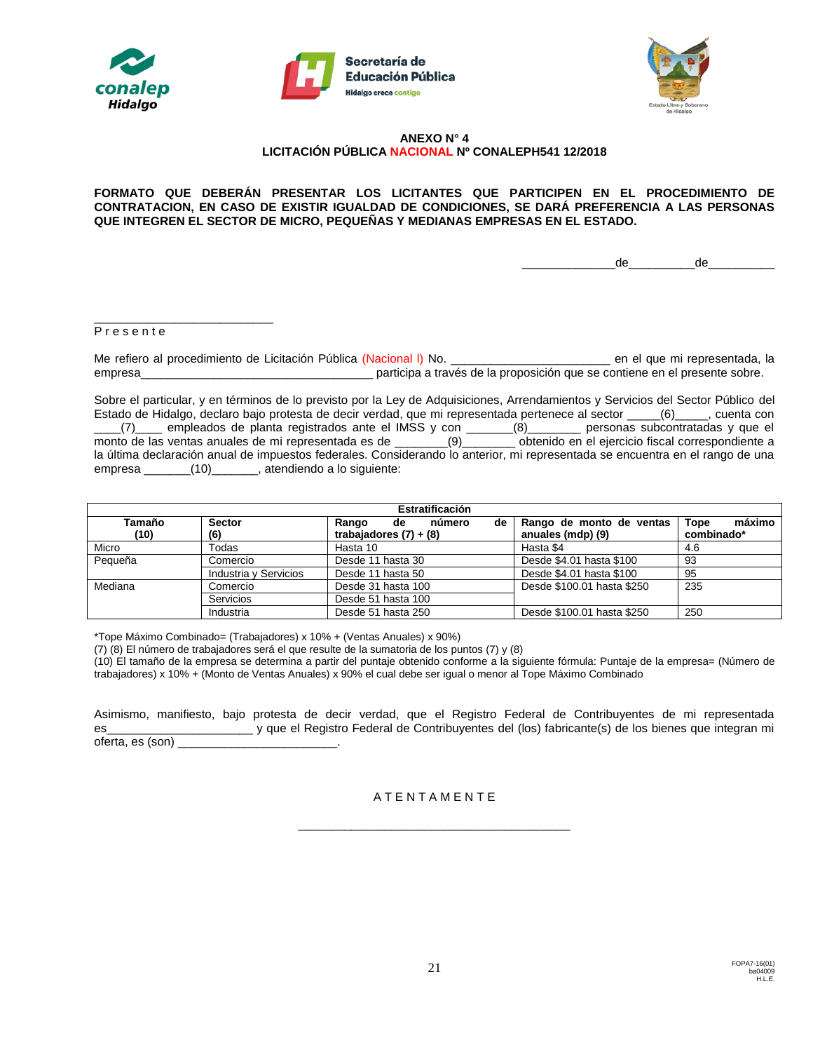





#### **ANEXO N° 4 LICITACIÓN PÚBLICA NACIONAL Nº CONALEPH541 12/2018**

#### **FORMATO QUE DEBERÁN PRESENTAR LOS LICITANTES QUE PARTICIPEN EN EL PROCEDIMIENTO DE CONTRATACION, EN CASO DE EXISTIR IGUALDAD DE CONDICIONES, SE DARÁ PREFERENCIA A LAS PERSONAS QUE INTEGREN EL SECTOR DE MICRO, PEQUEÑAS Y MEDIANAS EMPRESAS EN EL ESTADO.**

\_\_\_\_\_\_\_\_\_\_\_\_\_\_de\_\_\_\_\_\_\_\_\_\_de\_\_\_\_\_\_\_\_\_\_

#### P r e s e n t e

\_\_\_\_\_\_\_\_\_\_\_\_\_\_\_\_\_\_\_\_\_\_\_\_\_\_\_

Me refiero al procedimiento de Licitación Pública (Nacional I) No. \_\_\_\_\_\_\_\_\_\_\_\_\_\_\_\_\_\_\_\_\_\_\_\_\_\_\_\_\_\_\_ en el que mi representada, la empresa\_\_\_\_\_\_\_\_\_\_\_\_\_\_\_\_\_\_\_\_\_\_\_\_\_\_\_\_\_\_\_\_\_\_\_ participa a través de la proposición que se contiene en el presente sobre.

Sobre el particular, y en términos de lo previsto por la Ley de Adquisiciones, Arrendamientos y Servicios del Sector Público del Estado de Hidalgo, declaro bajo protesta de decir verdad, que mi representada pertenece al sector \_\_\_\_\_(6)\_\_\_\_\_, cuenta con \_\_\_\_(7)\_\_\_\_ empleados de planta registrados ante el IMSS y con \_\_\_\_\_\_\_(8)\_\_\_\_\_\_\_\_ personas subcontratadas y que el monto de las ventas anuales de mi representada es de \_\_\_\_\_\_\_\_(9)\_\_\_\_\_\_\_\_ obtenido en el ejercicio fiscal correspondiente a la última declaración anual de impuestos federales. Considerando lo anterior, mi representada se encuentra en el rango de una empresa \_\_\_\_\_\_\_(10)\_\_\_\_\_\_\_, atendiendo a lo siguiente:

| Estratificación |                       |                             |                            |                |  |  |
|-----------------|-----------------------|-----------------------------|----------------------------|----------------|--|--|
| Tamaño          | <b>Sector</b>         | número<br>Rango<br>de<br>de | Rango de monto de ventas   | máximo<br>Tope |  |  |
| (10)            | (6)                   | trabajadores $(7) + (8)$    | anuales (mdp) (9)          | combinado*     |  |  |
| Micro           | Todas                 | Hasta 10                    | Hasta \$4                  | 4.6            |  |  |
| Pequeña         | Comercio              | Desde 11 hasta 30           | Desde \$4.01 hasta \$100   | 93             |  |  |
|                 | Industria y Servicios | Desde 11 hasta 50           | Desde \$4.01 hasta \$100   | 95             |  |  |
| Mediana         | Comercio              | Desde 31 hasta 100          | Desde \$100.01 hasta \$250 | 235            |  |  |
|                 | Servicios             | Desde 51 hasta 100          |                            |                |  |  |
|                 | Industria             | Desde 51 hasta 250          | Desde \$100.01 hasta \$250 | 250            |  |  |

\*Tope Máximo Combinado= (Trabajadores) x 10% + (Ventas Anuales) x 90%)

(7) (8) El número de trabajadores será el que resulte de la sumatoria de los puntos (7) y (8)

(10) El tamaño de la empresa se determina a partir del puntaje obtenido conforme a la siguiente fórmula: Puntaje de la empresa= (Número de trabajadores) x 10% + (Monto de Ventas Anuales) x 90% el cual debe ser igual o menor al Tope Máximo Combinado

Asimismo, manifiesto, bajo protesta de decir verdad, que el Registro Federal de Contribuyentes de mi representada es\_\_\_\_\_\_\_\_\_\_\_\_\_\_\_\_\_\_\_\_\_\_ y que el Registro Federal de Contribuyentes del (los) fabricante(s) de los bienes que integran mi oferta, es (son) \_\_\_\_\_\_\_\_\_\_\_\_\_\_\_\_\_\_\_\_\_\_\_\_.

#### A T E N T A M E N T E

\_\_\_\_\_\_\_\_\_\_\_\_\_\_\_\_\_\_\_\_\_\_\_\_\_\_\_\_\_\_\_\_\_\_\_\_\_\_\_\_\_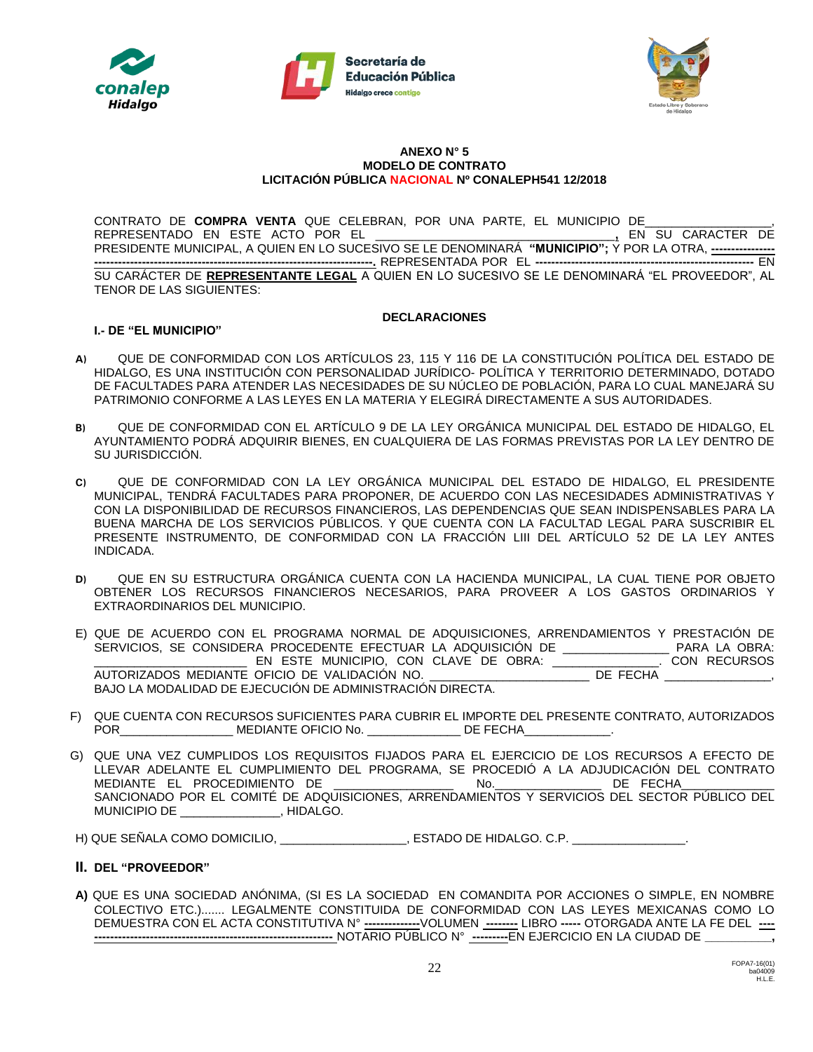





#### **ANEXO N° 5 MODELO DE CONTRATO LICITACIÓN PÚBLICA NACIONAL Nº CONALEPH541 12/2018**

CONTRATO DE **COMPRA VENTA** QUE CELEBRAN, POR UNA PARTE, EL MUNICIPIO DE **La partida de la partida de la partida**<br>REPRESENTADO EN ESTE ACTO POR EL **La partida de la partida de la partida de** la en SU CARACTER DE REPRESENTADO EN ESTE ACTO POR EL \_\_\_\_\_\_\_\_\_\_\_\_\_\_\_\_\_\_\_\_\_\_\_\_\_\_\_\_\_\_\_\_\_\_\_\_**,** EN SU CARACTER DE PRESIDENTE MUNICIPAL, A QUIEN EN LO SUCESIVO SE LE DENOMINARÁ **"MUNICIPIO";** Y POR LA OTRA, **---------------- ----------------------------------------------------------------------.** REPRESENTADA POR EL **-------------------------------------------------------** EN SU CARÁCTER DE **REPRESENTANTE LEGAL** A QUIEN EN LO SUCESIVO SE LE DENOMINARÁ "EL PROVEEDOR", AL TENOR DE LAS SIGUIENTES:

#### **DECLARACIONES**

# **I.- DE "EL MUNICIPIO"**

- **A)** QUE DE CONFORMIDAD CON LOS ARTÍCULOS 23, 115 Y 116 DE LA CONSTITUCIÓN POLÍTICA DEL ESTADO DE HIDALGO, ES UNA INSTITUCIÓN CON PERSONALIDAD JURÍDICO- POLÍTICA Y TERRITORIO DETERMINADO, DOTADO DE FACULTADES PARA ATENDER LAS NECESIDADES DE SU NÚCLEO DE POBLACIÓN, PARA LO CUAL MANEJARÁ SU PATRIMONIO CONFORME A LAS LEYES EN LA MATERIA Y ELEGIRÁ DIRECTAMENTE A SUS AUTORIDADES.
- **B)** QUE DE CONFORMIDAD CON EL ARTÍCULO 9 DE LA LEY ORGÁNICA MUNICIPAL DEL ESTADO DE HIDALGO, EL AYUNTAMIENTO PODRÁ ADQUIRIR BIENES, EN CUALQUIERA DE LAS FORMAS PREVISTAS POR LA LEY DENTRO DE SU JURISDICCIÓN.
- **C)** QUE DE CONFORMIDAD CON LA LEY ORGÁNICA MUNICIPAL DEL ESTADO DE HIDALGO, EL PRESIDENTE MUNICIPAL, TENDRÁ FACULTADES PARA PROPONER, DE ACUERDO CON LAS NECESIDADES ADMINISTRATIVAS Y CON LA DISPONIBILIDAD DE RECURSOS FINANCIEROS, LAS DEPENDENCIAS QUE SEAN INDISPENSABLES PARA LA BUENA MARCHA DE LOS SERVICIOS PÚBLICOS. Y QUE CUENTA CON LA FACULTAD LEGAL PARA SUSCRIBIR EL PRESENTE INSTRUMENTO, DE CONFORMIDAD CON LA FRACCIÓN LIII DEL ARTÍCULO 52 DE LA LEY ANTES INDICADA.
- **D)** QUE EN SU ESTRUCTURA ORGÁNICA CUENTA CON LA HACIENDA MUNICIPAL, LA CUAL TIENE POR OBJETO OBTENER LOS RECURSOS FINANCIEROS NECESARIOS, PARA PROVEER A LOS GASTOS ORDINARIOS Y EXTRAORDINARIOS DEL MUNICIPIO.
- E) QUE DE ACUERDO CON EL PROGRAMA NORMAL DE ADQUISICIONES, ARRENDAMIENTOS Y PRESTACIÓN DE SERVICIOS, SE CONSIDERA PROCEDENTE EFECTUAR LA ADQUISICIÓN DE \_\_\_\_\_\_\_\_\_\_\_\_\_\_\_\_ PARA LA OBRA: \_\_\_\_\_\_\_\_\_\_\_\_\_\_\_\_\_\_\_\_\_\_\_ EN ESTE MUNICIPIO, CON CLAVE DE OBRA: \_\_\_\_\_\_\_\_\_\_\_\_\_\_\_\_. CON RECURSOS AUTORIZADOS MEDIANTE OFICIO DE VALIDACIÓN NO. BAJO LA MODALIDAD DE EJECUCIÓN DE ADMINISTRACIÓN DIRECTA.
- F) QUE CUENTA CON RECURSOS SUFICIENTES PARA CUBRIR EL IMPORTE DEL PRESENTE CONTRATO, AUTORIZADOS POR\_\_\_\_\_\_\_\_\_\_\_\_\_\_\_\_\_ MEDIANTE OFICIO No. \_\_\_\_\_\_\_\_\_\_\_\_\_\_ DE FECHA\_\_\_\_\_\_\_\_\_\_\_\_\_.
- G) QUE UNA VEZ CUMPLIDOS LOS REQUISITOS FIJADOS PARA EL EJERCICIO DE LOS RECURSOS A EFECTO DE LLEVAR ADELANTE EL CUMPLIMIENTO DEL PROGRAMA, SE PROCEDIÓ A LA ADJUDICACIÓN DEL CONTRATO MEDIANTE EL PROCEDIMIENTO DE \_\_\_\_\_\_\_\_\_\_\_\_\_\_\_\_\_\_\_\_\_\_\_ No. SANCIONADO POR EL COMITÉ DE ADQUISICIONES, ARRENDAMIENTOS Y SERVICIOS DEL SECTOR PÚBLICO DEL MUNICIPIO DE \_\_\_\_\_\_\_\_\_\_\_\_\_\_\_, HIDALGO.

H) QUE SEÑALA COMO DOMICILIO, \_\_\_\_\_\_\_\_\_\_\_\_\_\_\_\_\_\_, ESTADO DE HIDALGO. C.P. \_\_\_\_\_\_\_\_\_\_\_\_\_

### **II. DEL "PROVEEDOR"**

**A)** QUE ES UNA SOCIEDAD ANÓNIMA, (SI ES LA SOCIEDAD EN COMANDITA POR ACCIONES O SIMPLE, EN NOMBRE COLECTIVO ETC.)....... LEGALMENTE CONSTITUIDA DE CONFORMIDAD CON LAS LEYES MEXICANAS COMO LO DEMUESTRA CON EL ACTA CONSTITUTIVA N° **--------------**VOLUMEN **--------** LIBRO **-----** OTORGADA ANTE LA FE DEL **---- ------------------------------------------------------------** NOTARIO PÚBLICO N° **---------**EN EJERCICIO EN LA CIUDAD DE **\_\_\_\_\_\_\_\_\_\_,**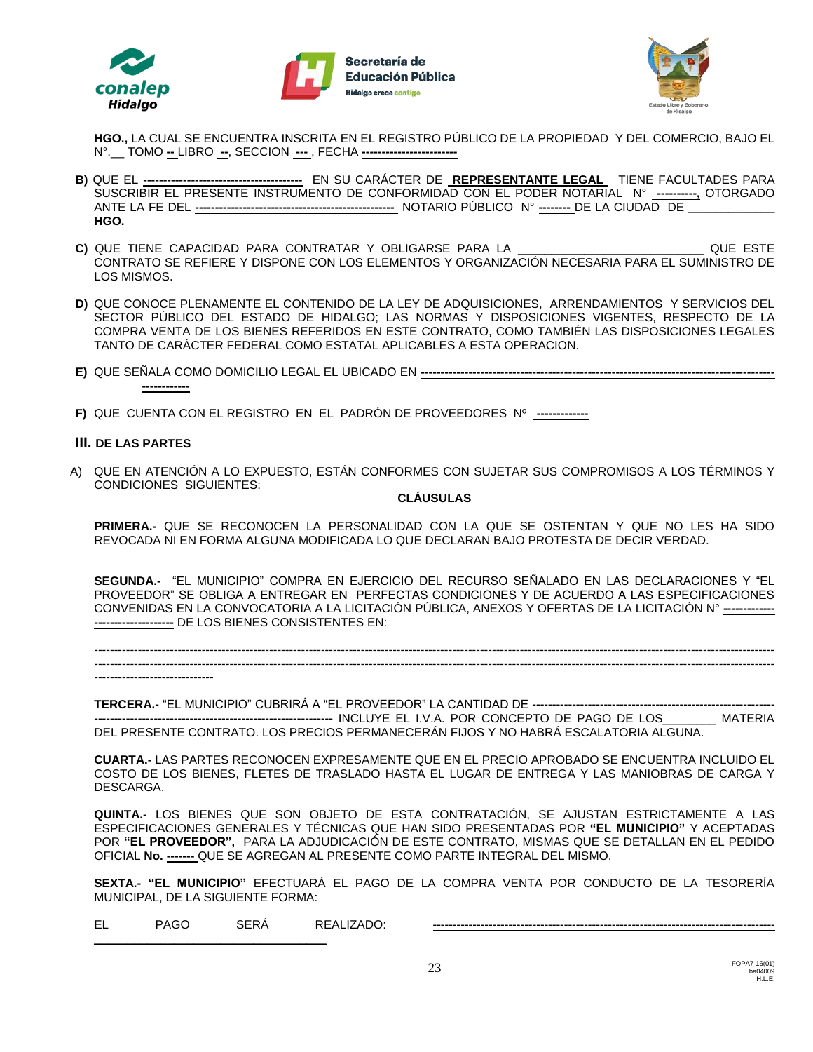





**HGO.,** LA CUAL SE ENCUENTRA INSCRITA EN EL REGISTRO PÚBLICO DE LA PROPIEDAD Y DEL COMERCIO, BAJO EL N°.\_\_ TOMO **--** LIBRO **--**, SECCION **---** , FECHA **------------------------**

- **B)** QUE EL **----------------------------------------** EN SU CARÁCTER DE **REPRESENTANTE LEGAL** TIENE FACULTADES PARA SUSCRIBIR EL PRESENTE INSTRUMENTO DE CONFORMIDAD CON EL PODER NOTARIAL N° **----------,** OTORGADO ANTE LA FE DEL **--------------------------------------------------** NOTARIO PÚBLICO N° **--------** DE LA CIUDAD DE **\_\_\_\_\_\_\_\_\_\_\_\_\_ HGO.**
- **C)** QUE TIENE CAPACIDAD PARA CONTRATAR Y OBLIGARSE PARA LA \_\_\_\_\_\_\_\_\_\_\_\_\_\_\_\_\_\_\_\_\_\_\_\_\_\_\_\_ QUE ESTE CONTRATO SE REFIERE Y DISPONE CON LOS ELEMENTOS Y ORGANIZACIÓN NECESARIA PARA EL SUMINISTRO DE LOS MISMOS.
- **D)** QUE CONOCE PLENAMENTE EL CONTENIDO DE LA LEY DE ADQUISICIONES, ARRENDAMIENTOS Y SERVICIOS DEL SECTOR PÚBLICO DEL ESTADO DE HIDALGO; LAS NORMAS Y DISPOSICIONES VIGENTES, RESPECTO DE LA COMPRA VENTA DE LOS BIENES REFERIDOS EN ESTE CONTRATO, COMO TAMBIÉN LAS DISPOSICIONES LEGALES TANTO DE CARÁCTER FEDERAL COMO ESTATAL APLICABLES A ESTA OPERACION.
- **E)** QUE SEÑALA COMO DOMICILIO LEGAL EL UBICADO EN **----------------------------------------------------------------------------------------- ------------**
- **F)** QUE CUENTA CON EL REGISTRO EN EL PADRÓN DE PROVEEDORES Nº **-------------**

### **III. DE LAS PARTES**

A) QUE EN ATENCIÓN A LO EXPUESTO, ESTÁN CONFORMES CON SUJETAR SUS COMPROMISOS A LOS TÉRMINOS Y CONDICIONES SIGUIENTES:

### **CLÁUSULAS**

**PRIMERA.-** QUE SE RECONOCEN LA PERSONALIDAD CON LA QUE SE OSTENTAN Y QUE NO LES HA SIDO REVOCADA NI EN FORMA ALGUNA MODIFICADA LO QUE DECLARAN BAJO PROTESTA DE DECIR VERDAD.

**SEGUNDA.-** "EL MUNICIPIO" COMPRA EN EJERCICIO DEL RECURSO SEÑALADO EN LAS DECLARACIONES Y "EL PROVEEDOR" SE OBLIGA A ENTREGAR EN PERFECTAS CONDICIONES Y DE ACUERDO A LAS ESPECIFICACIONES CONVENIDAS EN LA CONVOCATORIA A LA LICITACIÓN PÚBLICA, ANEXOS Y OFERTAS DE LA LICITACIÓN N° **------------- --------------------** DE LOS BIENES CONSISTENTES EN:

--------------------------------------------------------------------------------------------------------------------------------------------------------------------------- ---------------------------------------------------------------------------------------------------------------------------------------------------------------------------

------------------------------

**TERCERA.-** "EL MUNICIPIO" CUBRIRÁ A "EL PROVEEDOR" LA CANTIDAD DE **------------------------------------------------------------- ------------------------------------------------------------** INCLUYE EL I.V.A. POR CONCEPTO DE PAGO DE LOS\_\_\_\_\_\_\_\_ MATERIA DEL PRESENTE CONTRATO. LOS PRECIOS PERMANECERÁN FIJOS Y NO HABRÁ ESCALATORIA ALGUNA.

**CUARTA.-** LAS PARTES RECONOCEN EXPRESAMENTE QUE EN EL PRECIO APROBADO SE ENCUENTRA INCLUIDO EL COSTO DE LOS BIENES, FLETES DE TRASLADO HASTA EL LUGAR DE ENTREGA Y LAS MANIOBRAS DE CARGA Y DESCARGA.

**QUINTA.-** LOS BIENES QUE SON OBJETO DE ESTA CONTRATACIÓN, SE AJUSTAN ESTRICTAMENTE A LAS ESPECIFICACIONES GENERALES Y TÉCNICAS QUE HAN SIDO PRESENTADAS POR **"EL MUNICIPIO"** Y ACEPTADAS POR **"EL PROVEEDOR",** PARA LA ADJUDICACIÓN DE ESTE CONTRATO, MISMAS QUE SE DETALLAN EN EL PEDIDO OFICIAL **No. -------** QUE SE AGREGAN AL PRESENTE COMO PARTE INTEGRAL DEL MISMO.

**SEXTA.- "EL MUNICIPIO"** EFECTUARÁ EL PAGO DE LA COMPRA VENTA POR CONDUCTO DE LA TESORERÍA MUNICIPAL, DE LA SIGUIENTE FORMA:

EL PAGO SERÁ REALIZADO: **--------------------------------------------------------------------------------------**

**\_\_\_\_\_\_\_\_\_\_\_\_\_\_\_\_\_\_\_\_\_\_\_\_\_\_\_\_\_\_\_\_\_\_\_**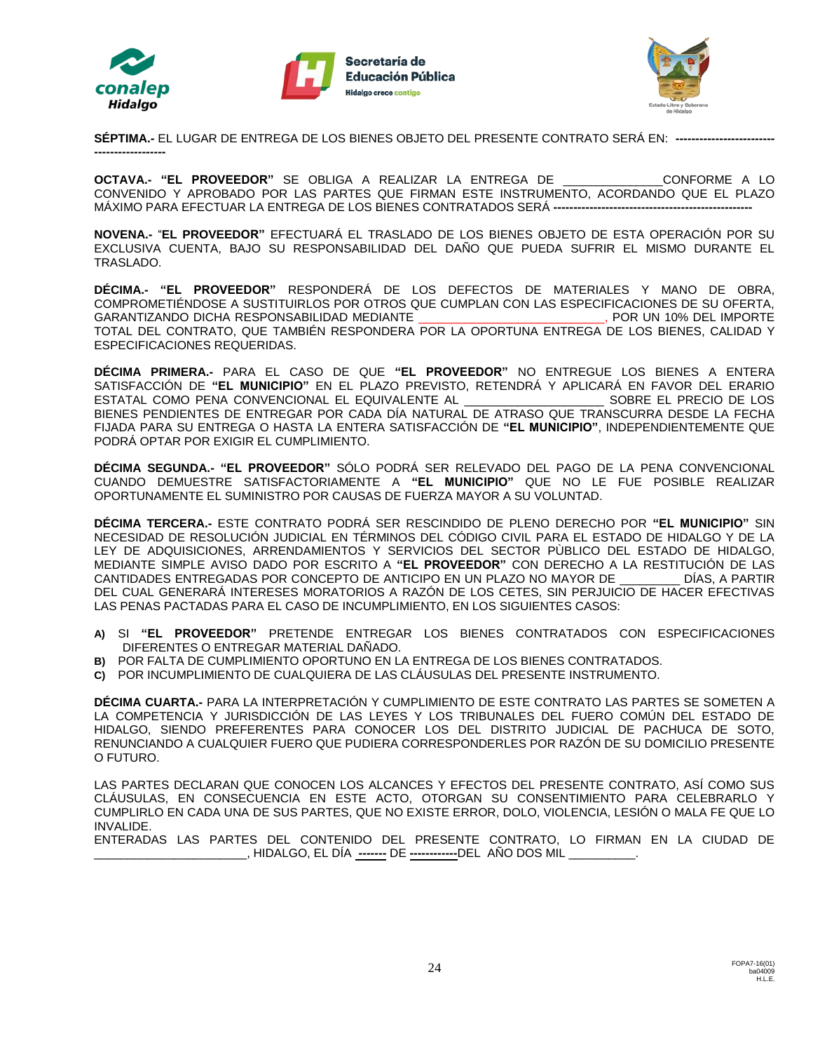





**SÉPTIMA.-** EL LUGAR DE ENTREGA DE LOS BIENES OBJETO DEL PRESENTE CONTRATO SERÁ EN: **------------------------- ------------------**

**OCTAVA.- "EL PROVEEDOR"** SE OBLIGA A REALIZAR LA ENTREGA DE \_\_\_\_\_\_\_\_\_\_\_\_\_\_\_CONFORME A LO CONVENIDO Y APROBADO POR LAS PARTES QUE FIRMAN ESTE INSTRUMENTO, ACORDANDO QUE EL PLAZO MÁXIMO PARA EFECTUAR LA ENTREGA DE LOS BIENES CONTRATADOS SERÁ **--------------------------------------------------**

**NOVENA.-** "**EL PROVEEDOR"** EFECTUARÁ EL TRASLADO DE LOS BIENES OBJETO DE ESTA OPERACIÓN POR SU EXCLUSIVA CUENTA, BAJO SU RESPONSABILIDAD DEL DAÑO QUE PUEDA SUFRIR EL MISMO DURANTE EL TRASLADO.

**DÉCIMA.- "EL PROVEEDOR"** RESPONDERÁ DE LOS DEFECTOS DE MATERIALES Y MANO DE OBRA, COMPROMETIÉNDOSE A SUSTITUIRLOS POR OTROS QUE CUMPLAN CON LAS ESPECIFICACIONES DE SU OFERTA, GARANTIZANDO DICHA RESPONSABILIDAD MEDIANTE \_\_\_\_\_\_\_\_\_\_\_\_\_\_\_\_\_\_\_\_\_\_\_\_\_\_\_\_, POR UN 10% DEL IMPORTE TOTAL DEL CONTRATO, QUE TAMBIÉN RESPONDERA POR LA OPORTUNA ENTREGA DE LOS BIENES, CALIDAD Y ESPECIFICACIONES REQUERIDAS.

**DÉCIMA PRIMERA.-** PARA EL CASO DE QUE **"EL PROVEEDOR"** NO ENTREGUE LOS BIENES A ENTERA SATISFACCIÓN DE **"EL MUNICIPIO"** EN EL PLAZO PREVISTO, RETENDRÁ Y APLICARÁ EN FAVOR DEL ERARIO ESTATAL COMO PENA CONVENCIONAL EL EQUIVALENTE AL \_\_\_\_\_\_\_\_\_\_\_\_\_\_\_\_\_\_\_\_\_ SOBRE EL PRECIO DE LOS BIENES PENDIENTES DE ENTREGAR POR CADA DÍA NATURAL DE ATRASO QUE TRANSCURRA DESDE LA FECHA FIJADA PARA SU ENTREGA O HASTA LA ENTERA SATISFACCIÓN DE **"EL MUNICIPIO"**, INDEPENDIENTEMENTE QUE PODRÁ OPTAR POR EXIGIR EL CUMPLIMIENTO.

**DÉCIMA SEGUNDA.- "EL PROVEEDOR"** SÓLO PODRÁ SER RELEVADO DEL PAGO DE LA PENA CONVENCIONAL CUANDO DEMUESTRE SATISFACTORIAMENTE A **"EL MUNICIPIO"** QUE NO LE FUE POSIBLE REALIZAR OPORTUNAMENTE EL SUMINISTRO POR CAUSAS DE FUERZA MAYOR A SU VOLUNTAD.

**DÉCIMA TERCERA.-** ESTE CONTRATO PODRÁ SER RESCINDIDO DE PLENO DERECHO POR **"EL MUNICIPIO"** SIN NECESIDAD DE RESOLUCIÓN JUDICIAL EN TÉRMINOS DEL CÓDIGO CIVIL PARA EL ESTADO DE HIDALGO Y DE LA LEY DE ADQUISICIONES, ARRENDAMIENTOS Y SERVICIOS DEL SECTOR PÙBLICO DEL ESTADO DE HIDALGO, MEDIANTE SIMPLE AVISO DADO POR ESCRITO A **"EL PROVEEDOR"** CON DERECHO A LA RESTITUCIÓN DE LAS CANTIDADES ENTREGADAS POR CONCEPTO DE ANTICIPO EN UN PLAZO NO MAYOR DE \_\_\_\_\_\_\_\_\_ DÍAS, A PARTIR DEL CUAL GENERARÁ INTERESES MORATORIOS A RAZÓN DE LOS CETES, SIN PERJUICIO DE HACER EFECTIVAS LAS PENAS PACTADAS PARA EL CASO DE INCUMPLIMIENTO, EN LOS SIGUIENTES CASOS:

- **A)** SI **"EL PROVEEDOR"** PRETENDE ENTREGAR LOS BIENES CONTRATADOS CON ESPECIFICACIONES DIFERENTES O ENTREGAR MATERIAL DAÑADO.
- **B)** POR FALTA DE CUMPLIMIENTO OPORTUNO EN LA ENTREGA DE LOS BIENES CONTRATADOS.
- **C)** POR INCUMPLIMIENTO DE CUALQUIERA DE LAS CLÁUSULAS DEL PRESENTE INSTRUMENTO.

**DÉCIMA CUARTA.-** PARA LA INTERPRETACIÓN Y CUMPLIMIENTO DE ESTE CONTRATO LAS PARTES SE SOMETEN A LA COMPETENCIA Y JURISDICCIÓN DE LAS LEYES Y LOS TRIBUNALES DEL FUERO COMÚN DEL ESTADO DE HIDALGO, SIENDO PREFERENTES PARA CONOCER LOS DEL DISTRITO JUDICIAL DE PACHUCA DE SOTO, RENUNCIANDO A CUALQUIER FUERO QUE PUDIERA CORRESPONDERLES POR RAZÓN DE SU DOMICILIO PRESENTE O FUTURO.

LAS PARTES DECLARAN QUE CONOCEN LOS ALCANCES Y EFECTOS DEL PRESENTE CONTRATO, ASÍ COMO SUS CLÁUSULAS, EN CONSECUENCIA EN ESTE ACTO, OTORGAN SU CONSENTIMIENTO PARA CELEBRARLO Y CUMPLIRLO EN CADA UNA DE SUS PARTES, QUE NO EXISTE ERROR, DOLO, VIOLENCIA, LESIÓN O MALA FE QUE LO INVALIDE.

ENTERADAS LAS PARTES DEL CONTENIDO DEL PRESENTE CONTRATO, LO FIRMAN EN LA CIUDAD DE \_\_\_\_\_\_\_\_\_\_\_\_\_\_\_\_\_\_\_\_\_\_\_, HIDALGO, EL DÍA **-------** DE **------------**DEL AÑO DOS MIL \_\_\_\_\_\_\_\_\_\_.